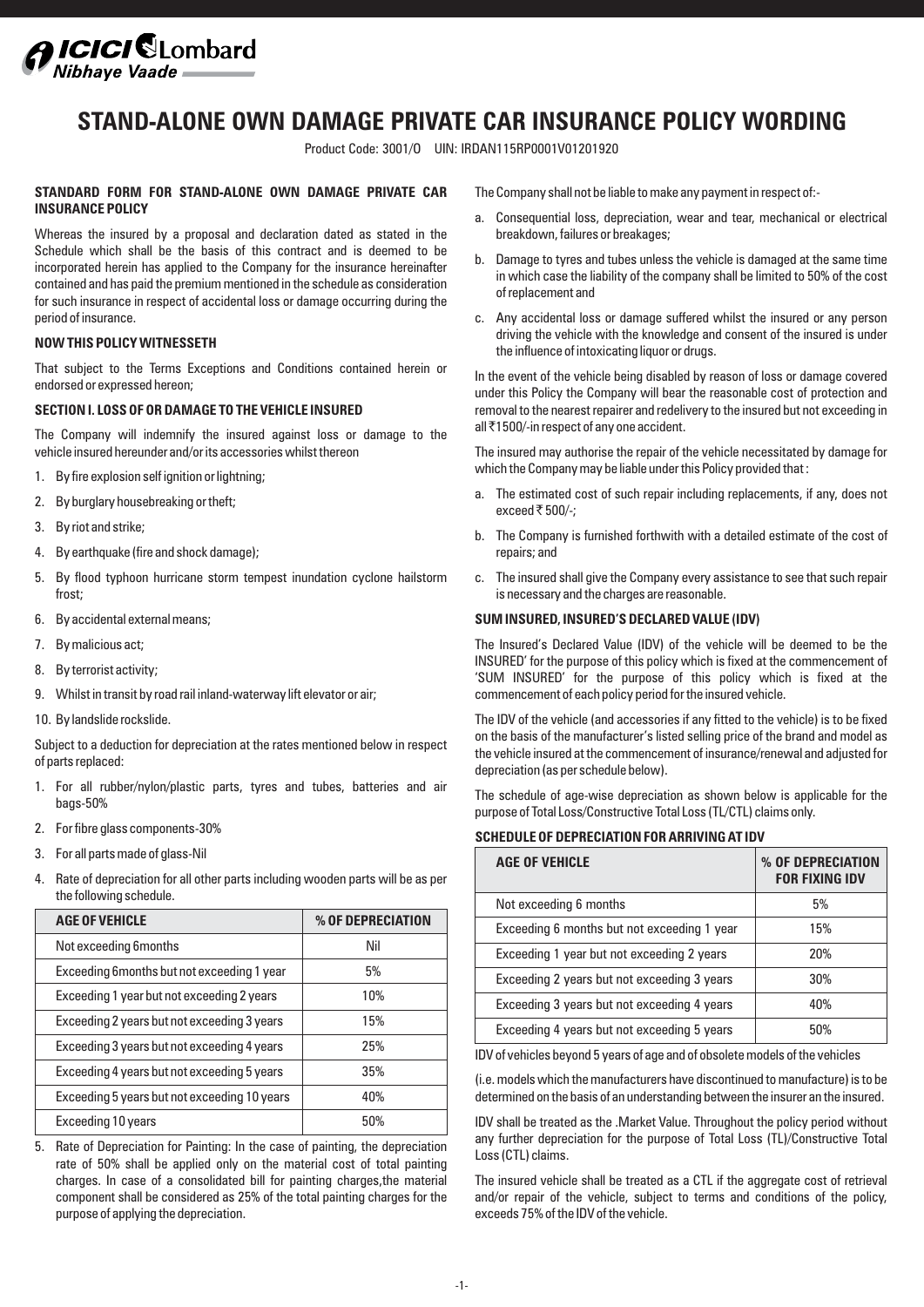

# **STAND-ALONE OWN DAMAGE PRIVATE CAR INSURANCE POLICY WORDING**

Product Code: 3001/O UIN: IRDAN115RP0001V01201920

## **STANDARD FORM FOR STAND-ALONE OWN DAMAGE PRIVATE CAR INSURANCE POLICY**

Whereas the insured by a proposal and declaration dated as stated in the Schedule which shall be the basis of this contract and is deemed to be incorporated herein has applied to the Company for the insurance hereinafter contained and has paid the premium mentioned in the schedule as consideration for such insurance in respect of accidental loss or damage occurring during the period of insurance.

## **NOW THIS POLICY WITNESSETH**

That subject to the Terms Exceptions and Conditions contained herein or endorsed or expressed hereon;

## **SECTION I. LOSS OF OR DAMAGE TO THE VEHICLE INSURED**

The Company will indemnify the insured against loss or damage to the vehicle insured hereunder and/or its accessories whilst thereon

- 1. By fire explosion self ignition or lightning;
- 2. By burglary housebreaking or theft;
- 3. By riot and strike;
- 4. By earthquake (fire and shock damage);
- 5. By flood typhoon hurricane storm tempest inundation cyclone hailstorm frost;
- 6. By accidental external means;
- 7. By malicious act;
- 8. By terrorist activity;
- 9. Whilst in transit by road rail inland-waterway lift elevator or air;
- 10. By landslide rockslide.

Subject to a deduction for depreciation at the rates mentioned below in respect of parts replaced:

- 1. For all rubber/nylon/plastic parts, tyres and tubes, batteries and air bags-50%
- 2. For fibre glass components-30%
- 3. For all parts made of glass-Nil
- 4. Rate of depreciation for all other parts including wooden parts will be as per the following schedule.

| <b>AGE OF VEHICLE</b>                        | % OF DEPRECIATION |
|----------------------------------------------|-------------------|
| Not exceeding 6months                        | Nil               |
| Exceeding 6 months but not exceeding 1 year  | 5%                |
| Exceeding 1 year but not exceeding 2 years   | 10%               |
| Exceeding 2 years but not exceeding 3 years  | 15%               |
| Exceeding 3 years but not exceeding 4 years  | 25%               |
| Exceeding 4 years but not exceeding 5 years  | 35%               |
| Exceeding 5 years but not exceeding 10 years | 40%               |
| Exceeding 10 years                           | 50%               |

5. Rate of Depreciation for Painting: In the case of painting, the depreciation rate of 50% shall be applied only on the material cost of total painting charges. In case of a consolidated bill for painting charges,the material component shall be considered as 25% of the total painting charges for the purpose of applying the depreciation.

The Company shall not be liable to make any payment in respect of:-

- Consequential loss, depreciation, wear and tear, mechanical or electrical breakdown, failures or breakages;
- b. Damage to tyres and tubes unless the vehicle is damaged at the same time in which case the liability of the company shall be limited to 50% of the cost of replacement and
- c. Any accidental loss or damage suffered whilst the insured or any person driving the vehicle with the knowledge and consent of the insured is under the influence of intoxicating liquor or drugs.

In the event of the vehicle being disabled by reason of loss or damage covered under this Policy the Company will bear the reasonable cost of protection and removal to the nearest repairer and redelivery to the insured but not exceeding in all `1500/-in respect of any one accident.

The insured may authorise the repair of the vehicle necessitated by damage for which the Company may be liable under this Policy provided that :

- a. The estimated cost of such repair including replacements, if any, does not exceed  $\overline{\xi}$  500/-:
- b. The Company is furnished forthwith with a detailed estimate of the cost of repairs; and
- c. The insured shall give the Company every assistance to see that such repair is necessary and the charges are reasonable.

## **SUM INSURED, INSURED'S DECLARED VALUE (IDV)**

The Insured's Declared Value (IDV) of the vehicle will be deemed to be the INSURED' for the purpose of this policy which is fixed at the commencement of 'SUM INSURED' for the purpose of this policy which is fixed at the commencement of each policy period for the insured vehicle.

The IDV of the vehicle (and accessories if any fitted to the vehicle) is to be fixed on the basis of the manufacturer's listed selling price of the brand and model as the vehicle insured at the commencement of insurance/renewal and adjusted for depreciation (as per schedule below).

The schedule of age-wise depreciation as shown below is applicable for the purpose of Total Loss/Constructive Total Loss (TL/CTL) claims only.

#### **SCHEDULE OF DEPRECIATION FOR ARRIVING AT IDV**

| <b>AGE OF VEHICLE</b>                       | % OF DEPRECIATION<br><b>FOR FIXING IDV</b> |
|---------------------------------------------|--------------------------------------------|
| Not exceeding 6 months                      | 5%                                         |
| Exceeding 6 months but not exceeding 1 year | 15%                                        |
| Exceeding 1 year but not exceeding 2 years  | 20%                                        |
| Exceeding 2 years but not exceeding 3 years | 30%                                        |
| Exceeding 3 years but not exceeding 4 years | 40%                                        |
| Exceeding 4 years but not exceeding 5 years | 50%                                        |

IDV of vehicles beyond 5 years of age and of obsolete models of the vehicles

(i.e. models which the manufacturers have discontinued to manufacture) is to be determined on the basis of an understanding between the insurer an the insured.

IDV shall be treated as the .Market Value. Throughout the policy period without any further depreciation for the purpose of Total Loss (TL)/Constructive Total Loss (CTL) claims.

The insured vehicle shall be treated as a CTL if the aggregate cost of retrieval and/or repair of the vehicle, subject to terms and conditions of the policy, exceeds 75% of the IDV of the vehicle.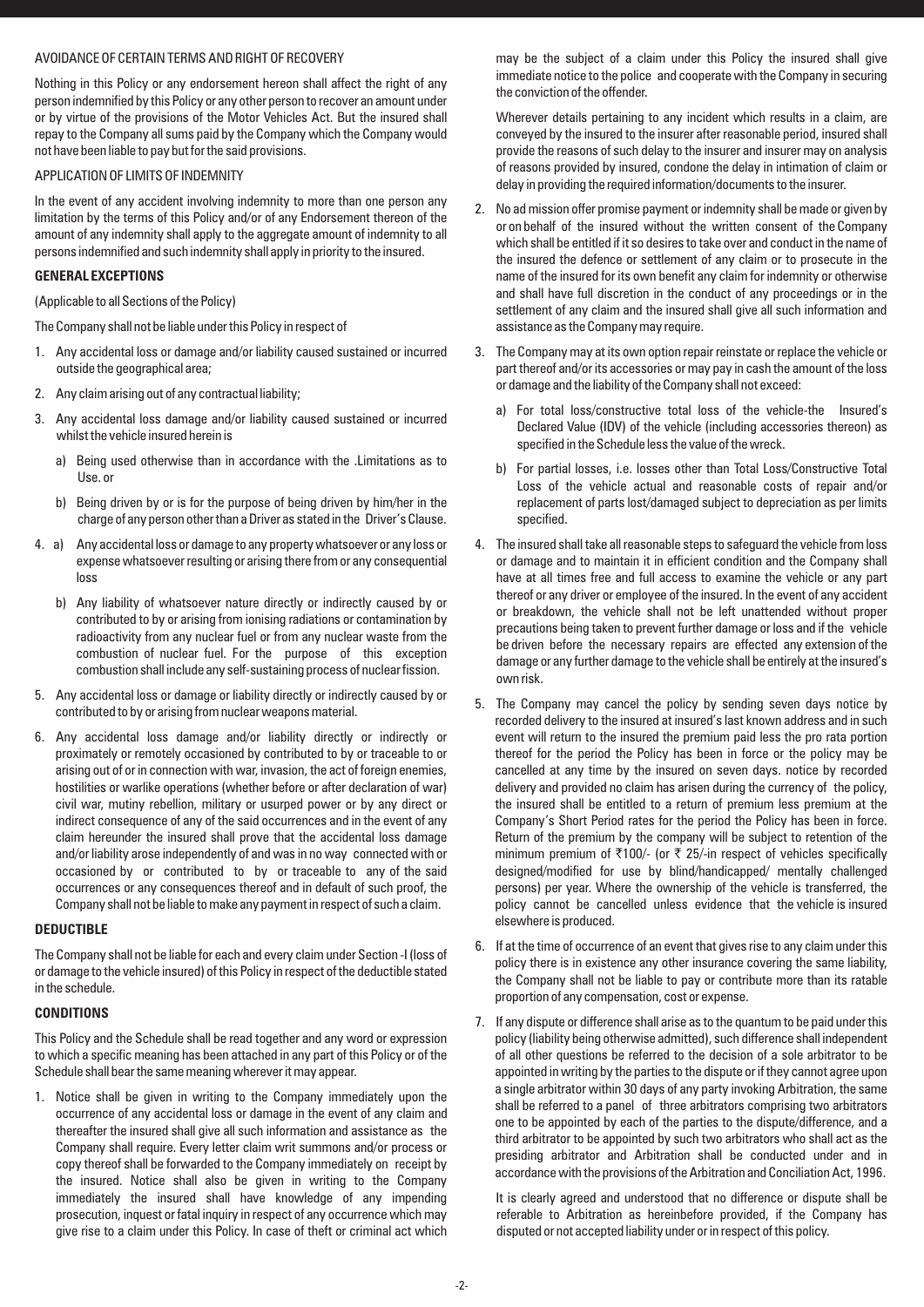# AVOIDANCE OF CERTAIN TERMS AND RIGHT OF RECOVERY

Nothing in this Policy or any endorsement hereon shall affect the right of any person indemnified by this Policy or any other person to recover an amount under or by virtue of the provisions of the Motor Vehicles Act. But the insured shall repay to the Company all sums paid by the Company which the Company would not have been liable to pay but for the said provisions.

## APPLICATION OF LIMITS OF INDEMNITY

In the event of any accident involving indemnity to more than one person any limitation by the terms of this Policy and/or of any Endorsement thereon of the amount of any indemnity shall apply to the aggregate amount of indemnity to all persons indemnified and such indemnity shall apply in priority to the insured.

## **GENERAL EXCEPTIONS**

(Applicable to all Sections of the Policy)

The Company shall not be liable under this Policy in respect of

- 1. Any accidental loss or damage and/or liability caused sustained or incurred outside the geographical area;
- 2. Any claim arising out of any contractual liability;
- 3. Any accidental loss damage and/or liability caused sustained or incurred whilst the vehicle insured herein is
	- a) Being used otherwise than in accordance with the .Limitations as to Use. or
	- b) Being driven by or is for the purpose of being driven by him/her in the charge of any person other than a Driver as stated in the Driver's Clause.
- 4. a) Any accidental loss or damage to any property whatsoever or any loss or expense whatsoever resulting or arising there from or any consequential loss
	- b) Any liability of whatsoever nature directly or indirectly caused by or contributed to by or arising from ionising radiations or contamination by radioactivity from any nuclear fuel or from any nuclear waste from the combustion of nuclear fuel. For the purpose of this exception combustion shall include any self-sustaining process of nuclear fission.
- 5. Any accidental loss or damage or liability directly or indirectly caused by or contributed to by or arising from nuclear weapons material.
- 6. Any accidental loss damage and/or liability directly or indirectly or proximately or remotely occasioned by contributed to by or traceable to or arising out of or in connection with war, invasion, the act of foreign enemies, hostilities or warlike operations (whether before or after declaration of war) civil war, mutiny rebellion, military or usurped power or by any direct or indirect consequence of any of the said occurrences and in the event of any claim hereunder the insured shall prove that the accidental loss damage and/or liability arose independently of and was in no way connected with or occasioned by or contributed to by or traceable to any of the said occurrences or any consequences thereof and in default of such proof, the Company shall not be liable to make any payment in respect of such a claim.

#### **DEDUCTIBLE**

The Company shall not be liable for each and every claim under Section -I (loss of or damage to the vehicle insured) of this Policy in respect of the deductible stated in the schedule.

#### **CONDITIONS**

This Policy and the Schedule shall be read together and any word or expression to which a specific meaning has been attached in any part of this Policy or of the Schedule shall bear the same meaning wherever it may appear.

1. Notice shall be given in writing to the Company immediately upon the occurrence of any accidental loss or damage in the event of any claim and thereafter the insured shall give all such information and assistance as the Company shall require. Every letter claim writ summons and/or process or copy thereof shall be forwarded to the Company immediately on receipt by the insured. Notice shall also be given in writing to the Company immediately the insured shall have knowledge of any impending prosecution, inquest or fatal inquiry in respect of any occurrence which may give rise to a claim under this Policy. In case of theft or criminal act which may be the subject of a claim under this Policy the insured shall give immediate notice to the police and cooperate with the Company in securing the conviction of the offender.

Wherever details pertaining to any incident which results in a claim, are conveyed by the insured to the insurer after reasonable period, insured shall provide the reasons of such delay to the insurer and insurer may on analysis of reasons provided by insured, condone the delay in intimation of claim or delay in providing the required information/documents to the insurer.

- 2. No ad mission offer promise payment or indemnity shall be made or given by or on behalf of the insured without the written consent of the Company which shall be entitled if it so desires to take over and conduct in the name of the insured the defence or settlement of any claim or to prosecute in the name of the insured for its own benefit any claim for indemnity or otherwise and shall have full discretion in the conduct of any proceedings or in the settlement of any claim and the insured shall give all such information and assistance as the Company may require.
- 3. The Company may at its own option repair reinstate or replace the vehicle or part thereof and/or its accessories or may pay in cash the amount of the loss or damage and the liability of the Company shall not exceed:
	- a) For total loss/constructive total loss of the vehicle-the Insured's Declared Value (IDV) of the vehicle (including accessories thereon) as specified in the Schedule less the value of the wreck.
	- b) For partial losses, i.e. losses other than Total Loss/Constructive Total Loss of the vehicle actual and reasonable costs of repair and/or replacement of parts lost/damaged subject to depreciation as per limits specified.
- 4. The insured shall take all reasonable steps to safeguard the vehicle from loss or damage and to maintain it in efficient condition and the Company shall have at all times free and full access to examine the vehicle or any part thereof or any driver or employee of the insured. In the event of any accident or breakdown, the vehicle shall not be left unattended without proper precautions being taken to prevent further damage or loss and if the vehicle be driven before the necessary repairs are effected any extension of the damage or any further damage to the vehicle shall be entirely at the insured's own risk.
- 5. The Company may cancel the policy by sending seven days notice by recorded delivery to the insured at insured's last known address and in such event will return to the insured the premium paid less the pro rata portion thereof for the period the Policy has been in force or the policy may be cancelled at any time by the insured on seven days. notice by recorded delivery and provided no claim has arisen during the currency of the policy, the insured shall be entitled to a return of premium less premium at the Company's Short Period rates for the period the Policy has been in force. Return of the premium by the company will be subject to retention of the minimum premium of  $\overline{\tau}$ 100/- (or  $\overline{\tau}$  25/-in respect of vehicles specifically designed/modified for use by blind/handicapped/ mentally challenged persons) per year. Where the ownership of the vehicle is transferred, the policy cannot be cancelled unless evidence that the vehicle is insured elsewhere is produced.
- 6. If at the time of occurrence of an event that gives rise to any claim under this policy there is in existence any other insurance covering the same liability, the Company shall not be liable to pay or contribute more than its ratable proportion of any compensation, cost or expense.
- 7. If any dispute or difference shall arise as to the quantum to be paid under this policy (liability being otherwise admitted), such difference shall independent of all other questions be referred to the decision of a sole arbitrator to be appointed in writing by the parties to the dispute or if they cannot agree upon a single arbitrator within 30 days of any party invoking Arbitration, the same shall be referred to a panel of three arbitrators comprising two arbitrators one to be appointed by each of the parties to the dispute/difference, and a third arbitrator to be appointed by such two arbitrators who shall act as the presiding arbitrator and Arbitration shall be conducted under and in accordance with the provisions of the Arbitration and Conciliation Act, 1996.

It is clearly agreed and understood that no difference or dispute shall be referable to Arbitration as hereinbefore provided, if the Company has disputed or not accepted liability under or in respect of this policy.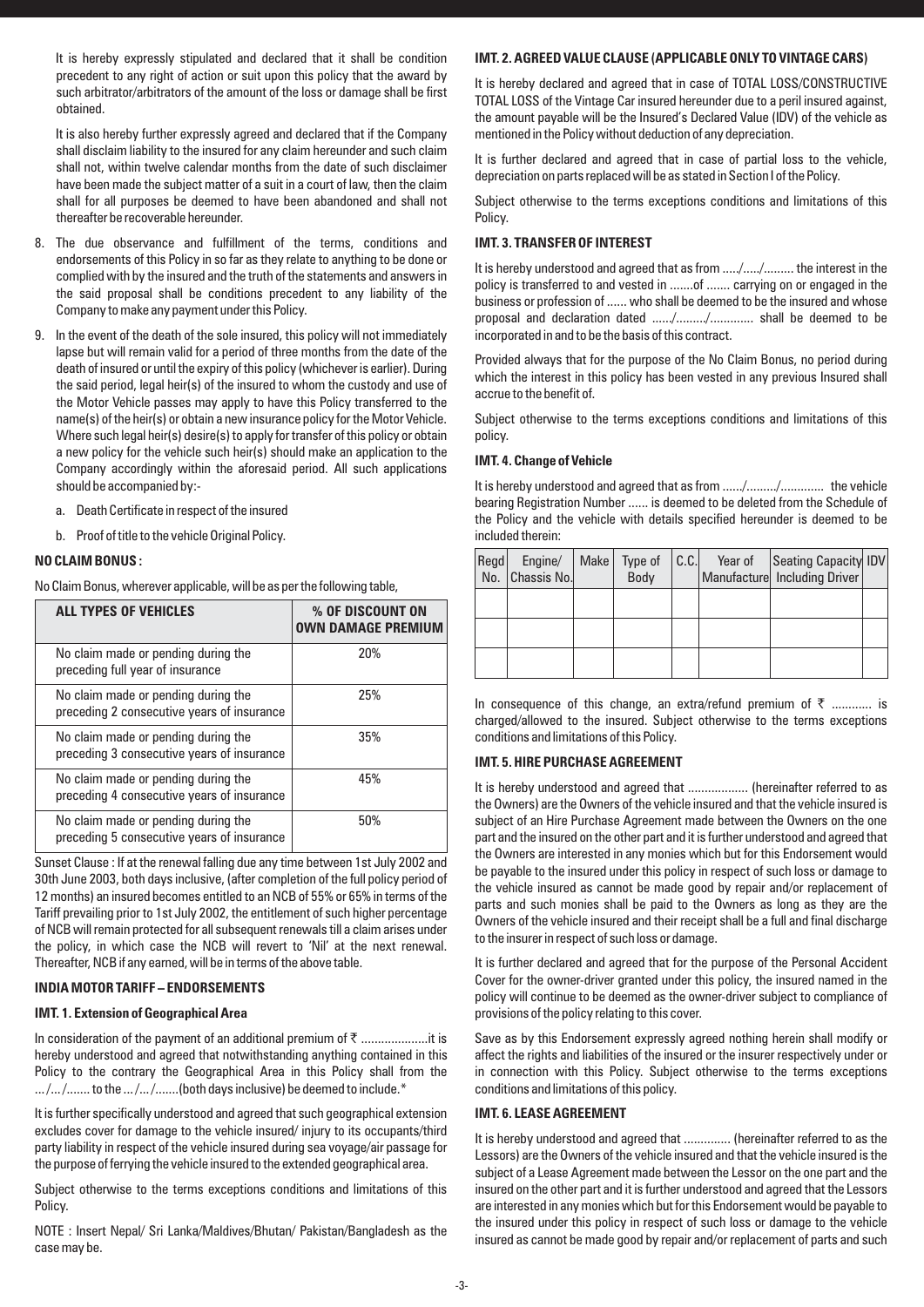It is hereby expressly stipulated and declared that it shall be condition precedent to any right of action or suit upon this policy that the award by such arbitrator/arbitrators of the amount of the loss or damage shall be first obtained.

It is also hereby further expressly agreed and declared that if the Company shall disclaim liability to the insured for any claim hereunder and such claim shall not, within twelve calendar months from the date of such disclaimer have been made the subject matter of a suit in a court of law, then the claim shall for all purposes be deemed to have been abandoned and shall not thereafter be recoverable hereunder.

- 8. The due observance and fulfillment of the terms, conditions and endorsements of this Policy in so far as they relate to anything to be done or complied with by the insured and the truth of the statements and answers in the said proposal shall be conditions precedent to any liability of the Company to make any payment under this Policy.
- 9. In the event of the death of the sole insured, this policy will not immediately lapse but will remain valid for a period of three months from the date of the death of insured or until the expiry of this policy (whichever is earlier). During the said period, legal heir(s) of the insured to whom the custody and use of the Motor Vehicle passes may apply to have this Policy transferred to the name(s) of the heir(s) or obtain a new insurance policy for the Motor Vehicle. Where such legal heir(s) desire(s) to apply for transfer of this policy or obtain a new policy for the vehicle such heir(s) should make an application to the Company accordingly within the aforesaid period. All such applications should be accompanied by:
	- a. Death Certificate in respect of the insured
	- b. Proof of title to the vehicle Original Policy.

#### **NO CLAIM BONUS :**

No Claim Bonus, wherever applicable, will be as per the following table,

| <b>ALL TYPES OF VEHICLES</b>                                                      | % OF DISCOUNT ON<br><b>OWN DAMAGE PREMIUM</b> |
|-----------------------------------------------------------------------------------|-----------------------------------------------|
| No claim made or pending during the<br>preceding full year of insurance           | 20%                                           |
| No claim made or pending during the<br>preceding 2 consecutive years of insurance | 25%                                           |
| No claim made or pending during the<br>preceding 3 consecutive years of insurance | 35%                                           |
| No claim made or pending during the<br>preceding 4 consecutive years of insurance | 45%                                           |
| No claim made or pending during the<br>preceding 5 consecutive years of insurance | 50%                                           |

Sunset Clause : If at the renewal falling due any time between 1st July 2002 and 30th June 2003, both days inclusive, (after completion of the full policy period of 12 months) an insured becomes entitled to an NCB of 55% or 65% in terms of the Tariff prevailing prior to 1st July 2002, the entitlement of such higher percentage of NCB will remain protected for all subsequent renewals till a claim arises under the policy, in which case the NCB will revert to 'Nil' at the next renewal. Thereafter, NCB if any earned, will be in terms of the above table.

## **INDIA MOTOR TARIFF – ENDORSEMENTS**

#### **IMT. 1. Extension of Geographical Area**

In consideration of the payment of an additional premium of ` ....................it is hereby understood and agreed that notwithstanding anything contained in this Policy to the contrary the Geographical Area in this Policy shall from the  $...$ / $...$ / $...$  to the  $...$ / $...$ / $...$ .....(both days inclusive) be deemed to include.\*

It is further specifically understood and agreed that such geographical extension excludes cover for damage to the vehicle insured/ injury to its occupants/third party liability in respect of the vehicle insured during sea voyage/air passage for the purpose of ferrying the vehicle insured to the extended geographical area.

Subject otherwise to the terms exceptions conditions and limitations of this Policy.

NOTE : Insert Nepal/ Sri Lanka/Maldives/Bhutan/ Pakistan/Bangladesh as the case may be.

# **IMT. 2. AGREED VALUE CLAUSE (APPLICABLE ONLY TO VINTAGE CARS)**

It is hereby declared and agreed that in case of TOTAL LOSS/CONSTRUCTIVE TOTAL LOSS of the Vintage Car insured hereunder due to a peril insured against, the amount payable will be the Insured's Declared Value (IDV) of the vehicle as mentioned in the Policy without deduction of any depreciation.

It is further declared and agreed that in case of partial loss to the vehicle, depreciation on parts replaced will be as stated in Section I of the Policy.

Subject otherwise to the terms exceptions conditions and limitations of this Policy.

## **IMT. 3. TRANSFER OF INTEREST**

It is hereby understood and agreed that as from ...../...../......... the interest in the policy is transferred to and vested in .......of ....... carrying on or engaged in the business or profession of ...... who shall be deemed to be the insured and whose proposal and declaration dated ....../........./............. shall be deemed to be incorporated in and to be the basis of this contract.

Provided always that for the purpose of the No Claim Bonus, no period during which the interest in this policy has been vested in any previous Insured shall accrue to the benefit of.

Subject otherwise to the terms exceptions conditions and limitations of this policy.

## **IMT. 4. Change of Vehicle**

It is hereby understood and agreed that as from ....../........../................ the vehicle bearing Registration Number ...... is deemed to be deleted from the Schedule of the Policy and the vehicle with details specified hereunder is deemed to be included therein:

| Regd | Engine/<br>No.   Chassis No. | Make | Type of<br>Body | C.C. | Year of | Seating Capacity IDV<br>Manufacture Including Driver |  |
|------|------------------------------|------|-----------------|------|---------|------------------------------------------------------|--|
|      |                              |      |                 |      |         |                                                      |  |
|      |                              |      |                 |      |         |                                                      |  |
|      |                              |      |                 |      |         |                                                      |  |

In consequence of this change, an extra/refund premium of  $\bar{\tau}$  ............ is charged/allowed to the insured. Subject otherwise to the terms exceptions conditions and limitations of this Policy.

## **IMT. 5. HIRE PURCHASE AGREEMENT**

It is hereby understood and agreed that ................... (hereinafter referred to as the Owners) are the Owners of the vehicle insured and that the vehicle insured is subject of an Hire Purchase Agreement made between the Owners on the one part and the insured on the other part and it is further understood and agreed that the Owners are interested in any monies which but for this Endorsement would be payable to the insured under this policy in respect of such loss or damage to the vehicle insured as cannot be made good by repair and/or replacement of parts and such monies shall be paid to the Owners as long as they are the Owners of the vehicle insured and their receipt shall be a full and final discharge to the insurer in respect of such loss or damage.

It is further declared and agreed that for the purpose of the Personal Accident Cover for the owner-driver granted under this policy, the insured named in the policy will continue to be deemed as the owner-driver subject to compliance of provisions of the policy relating to this cover.

Save as by this Endorsement expressly agreed nothing herein shall modify or affect the rights and liabilities of the insured or the insurer respectively under or in connection with this Policy. Subject otherwise to the terms exceptions conditions and limitations of this policy.

## **IMT. 6. LEASE AGREEMENT**

It is hereby understood and agreed that .............. (hereinafter referred to as the Lessors) are the Owners of the vehicle insured and that the vehicle insured is the subject of a Lease Agreement made between the Lessor on the one part and the insured on the other part and it is further understood and agreed that the Lessors are interested in any monies which but for this Endorsement would be payable to the insured under this policy in respect of such loss or damage to the vehicle insured as cannot be made good by repair and/or replacement of parts and such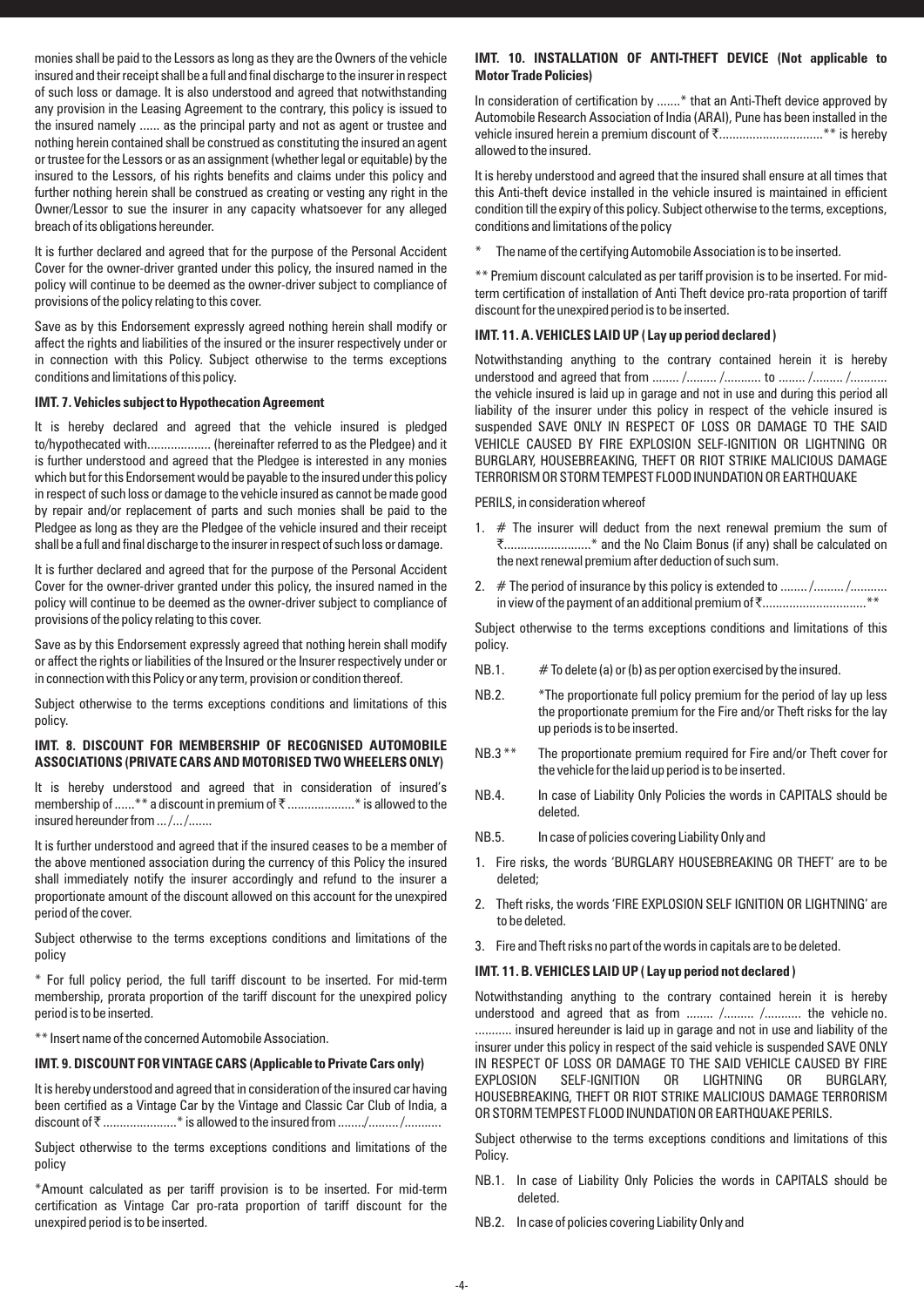monies shall be paid to the Lessors as long as they are the Owners of the vehicle insured and their receipt shall be a full and final discharge to the insurer in respect of such loss or damage. It is also understood and agreed that notwithstanding any provision in the Leasing Agreement to the contrary, this policy is issued to the insured namely ...... as the principal party and not as agent or trustee and nothing herein contained shall be construed as constituting the insured an agent or trustee for the Lessors or as an assignment (whether legal or equitable) by the insured to the Lessors, of his rights benefits and claims under this policy and further nothing herein shall be construed as creating or vesting any right in the Owner/Lessor to sue the insurer in any capacity whatsoever for any alleged breach of its obligations hereunder.

It is further declared and agreed that for the purpose of the Personal Accident Cover for the owner-driver granted under this policy, the insured named in the policy will continue to be deemed as the owner-driver subject to compliance of provisions of the policy relating to this cover.

Save as by this Endorsement expressly agreed nothing herein shall modify or affect the rights and liabilities of the insured or the insurer respectively under or in connection with this Policy. Subject otherwise to the terms exceptions conditions and limitations of this policy.

## **IMT. 7. Vehicles subject to Hypothecation Agreement**

It is hereby declared and agreed that the vehicle insured is pledged to/hypothecated with................... (hereinafter referred to as the Pledgee) and it is further understood and agreed that the Pledgee is interested in any monies which but for this Endorsement would be payable to the insured under this policy in respect of such loss or damage to the vehicle insured as cannot be made good by repair and/or replacement of parts and such monies shall be paid to the Pledgee as long as they are the Pledgee of the vehicle insured and their receipt shall be a full and final discharge to the insurer in respect of such loss or damage.

It is further declared and agreed that for the purpose of the Personal Accident Cover for the owner-driver granted under this policy, the insured named in the policy will continue to be deemed as the owner-driver subject to compliance of provisions of the policy relating to this cover.

Save as by this Endorsement expressly agreed that nothing herein shall modify or affect the rights or liabilities of the Insured or the Insurer respectively under or in connection with this Policy or any term, provision or condition thereof.

Subject otherwise to the terms exceptions conditions and limitations of this policy.

## **IMT. 8. DISCOUNT FOR MEMBERSHIP OF RECOGNISED AUTOMOBILE ASSOCIATIONS (PRIVATE CARS AND MOTORISED TWO WHEELERS ONLY)**

It is hereby understood and agreed that in consideration of insured's membership of ......\*\* a discount in premium of ₹ .......................\* is allowed to the insured hereunder from .../.../.......

It is further understood and agreed that if the insured ceases to be a member of the above mentioned association during the currency of this Policy the insured shall immediately notify the insurer accordingly and refund to the insurer a proportionate amount of the discount allowed on this account for the unexpired period of the cover.

Subject otherwise to the terms exceptions conditions and limitations of the policy

\* For full policy period, the full tariff discount to be inserted. For mid-term membership, prorata proportion of the tariff discount for the unexpired policy period is to be inserted.

\*\* Insert name of the concerned Automobile Association.

# **IMT. 9. DISCOUNT FOR VINTAGE CARS (Applicable to Private Cars only)**

It is hereby understood and agreed that in consideration of the insured car having been certified as a Vintage Car by the Vintage and Classic Car Club of India, a discount of ` ......................\* is allowed to the insured from ......../......... /...........

Subject otherwise to the terms exceptions conditions and limitations of the policy

\*Amount calculated as per tariff provision is to be inserted. For mid-term certification as Vintage Car pro-rata proportion of tariff discount for the unexpired period is to be inserted.

## **IMT. 10. INSTALLATION OF ANTI-THEFT DEVICE (Not applicable to Motor Trade Policies)**

In consideration of certification by .......\* that an Anti-Theft device approved by Automobile Research Association of India (ARAI), Pune has been installed in the vehicle insured herein a premium discount of  $\bar{\tau}$ ...................................\*\* is hereby allowed to the insured.

It is hereby understood and agreed that the insured shall ensure at all times that this Anti-theft device installed in the vehicle insured is maintained in efficient condition till the expiry of this policy. Subject otherwise to the terms, exceptions, conditions and limitations of the policy

The name of the certifying Automobile Association is to be inserted.

\*\* Premium discount calculated as per tariff provision is to be inserted. For midterm certification of installation of Anti Theft device pro-rata proportion of tariff discount for the unexpired period is to be inserted.

## **IMT. 11. A. VEHICLES LAID UP ( Lay up period declared )**

Notwithstanding anything to the contrary contained herein it is hereby understood and agreed that from ........ /......... /........... to ........ /......... /........... the vehicle insured is laid up in garage and not in use and during this period all liability of the insurer under this policy in respect of the vehicle insured is suspended SAVE ONLY IN RESPECT OF LOSS OR DAMAGE TO THE SAID VEHICLE CAUSED BY FIRE EXPLOSION SELF-IGNITION OR LIGHTNING OR BURGLARY, HOUSEBREAKING, THEFT OR RIOT STRIKE MALICIOUS DAMAGE TERRORISM OR STORM TEMPEST FLOOD INUNDATION OR EARTHQUAKE

PERILS, in consideration whereof

- 1. # The insurer will deduct from the next renewal premium the sum of `..........................\* and the No Claim Bonus (if any) shall be calculated on the next renewal premium after deduction of such sum.
- 2. # The period of insurance by this policy is extended to ........ /......... /.......... in view of the payment of an additional premium of `...............................\*\*

Subject otherwise to the terms exceptions conditions and limitations of this policy.

- NB.1.  $\#$  To delete (a) or (b) as per option exercised by the insured.
- NB.2. \*The proportionate full policy premium for the period of lay up less the proportionate premium for the Fire and/or Theft risks for the lay up periods is to be inserted.
- NB.3<sup>\*\*</sup> The proportionate premium required for Fire and/or Theft cover for the vehicle for the laid up period is to be inserted.
- NB.4. In case of Liability Only Policies the words in CAPITALS should be deleted.
- NB.5. In case of policies covering Liability Only and
- 1. Fire risks, the words 'BURGLARY HOUSEBREAKING OR THEFT' are to be deleted;
- 2. Theft risks, the words 'FIRE EXPLOSION SELF IGNITION OR LIGHTNING' are to be deleted.
- 3. Fire and Theft risks no part of the words in capitals are to be deleted.

#### **IMT. 11. B. VEHICLES LAID UP ( Lay up period not declared )**

Notwithstanding anything to the contrary contained herein it is hereby understood and agreed that as from ........ /......... /........... the vehicle no. ........... insured hereunder is laid up in garage and not in use and liability of the insurer under this policy in respect of the said vehicle is suspended SAVE ONLY IN RESPECT OF LOSS OR DAMAGE TO THE SAID VEHICLE CAUSED BY FIRE EXPLOSION SELF-IGNITION OR LIGHTNING OR BURGLARY, HOUSEBREAKING, THEFT OR RIOT STRIKE MALICIOUS DAMAGE TERRORISM OR STORM TEMPEST FLOOD INUNDATION OR EARTHQUAKE PERILS.

Subject otherwise to the terms exceptions conditions and limitations of this Policy.

- NB.1. In case of Liability Only Policies the words in CAPITALS should be deleted.
- NB.2. In case of policies covering Liability Only and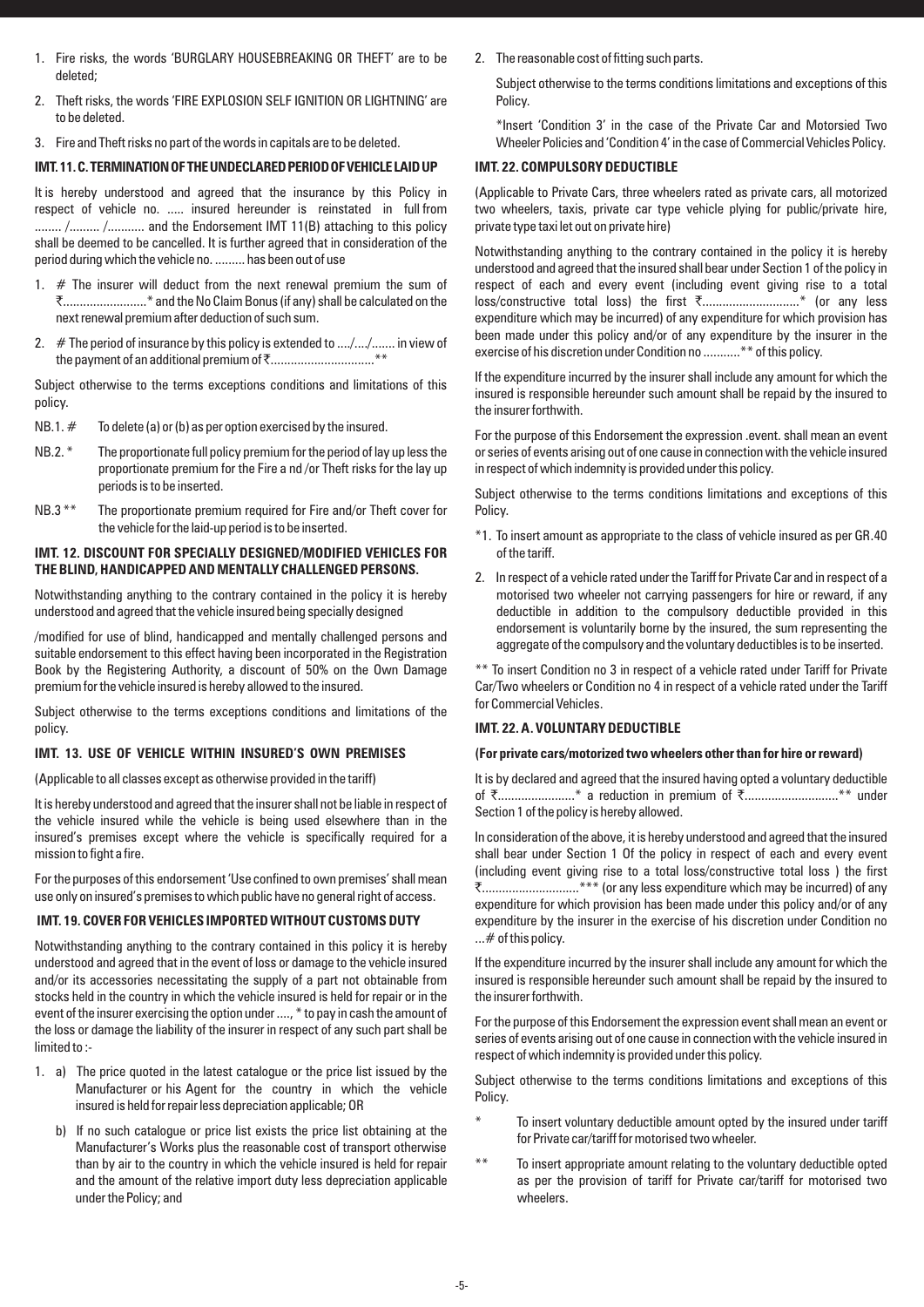- 1. Fire risks, the words 'BURGLARY HOUSEBREAKING OR THEFT' are to be deleted;
- 2. Theft risks, the words 'FIRE EXPLOSION SELF IGNITION OR LIGHTNING' are to be deleted.
- 3. Fire and Theft risks no part of the words in capitals are to be deleted.

## **IMT.11. C. TERMINATION OF THE UNDECLARED PERIOD OF VEHICLE LAID UP**

It is hereby understood and agreed that the insurance by this Policy in respect of vehicle no. ..... insured hereunder is reinstated in full from ........ /......... /........... and the Endorsement IMT 11(B) attaching to this policy shall be deemed to be cancelled. It is further agreed that in consideration of the period during which the vehicle no. ......... has been out of use

- 1.  $#$  The insurer will deduct from the next renewal premium the sum of `.........................\* and the No Claim Bonus (if any) shall be calculated on the next renewal premium after deduction of such sum.
- 2.  $#$  The period of insurance by this policy is extended to  $\dots/\dots/\dots$  in view of the payment of an additional premium of `...............................\*\*

Subject otherwise to the terms exceptions conditions and limitations of this policy.

- $NB.1. #$  To delete (a) or (b) as per option exercised by the insured.
- NB.2. \* The proportionate full policy premium for the period of lay up less the proportionate premium for the Fire a nd /or Theft risks for the lay up periods is to be inserted.
- NB.3<sup>\*\*</sup> The proportionate premium required for Fire and/or Theft cover for the vehicle for the laid-up period is to be inserted.

## **IMT. 12. DISCOUNT FOR SPECIALLY DESIGNED/MODIFIED VEHICLES FOR THE BLIND, HANDICAPPED AND MENTALLY CHALLENGED PERSONS.**

Notwithstanding anything to the contrary contained in the policy it is hereby understood and agreed that the vehicle insured being specially designed

/modified for use of blind, handicapped and mentally challenged persons and suitable endorsement to this effect having been incorporated in the Registration Book by the Registering Authority, a discount of 50% on the Own Damage premium for the vehicle insured is hereby allowed to the insured.

Subject otherwise to the terms exceptions conditions and limitations of the policy.

## **IMT. 13. USE OF VEHICLE WITHIN INSURED'S OWN PREMISES**

(Applicable to all classes except as otherwise provided in the tariff)

It is hereby understood and agreed that the insurer shall not be liable in respect of the vehicle insured while the vehicle is being used elsewhere than in the insured's premises except where the vehicle is specifically required for a mission to fight a fire.

For the purposes of this endorsement 'Use confined to own premises' shall mean use only on insured's premises to which public have no general right of access.

#### **IMT. 19. COVER FOR VEHICLES IMPORTED WITHOUT CUSTOMS DUTY**

Notwithstanding anything to the contrary contained in this policy it is hereby understood and agreed that in the event of loss or damage to the vehicle insured and/or its accessories necessitating the supply of a part not obtainable from stocks held in the country in which the vehicle insured is held for repair or in the event of the insurer exercising the option under ...., \* to pay in cash the amount of the loss or damage the liability of the insurer in respect of any such part shall be limited to :-

- 1. a) The price quoted in the latest catalogue or the price list issued by the Manufacturer or his Agent for the country in which the vehicle insured is held for repair less depreciation applicable; OR
	- b) If no such catalogue or price list exists the price list obtaining at the Manufacturer's Works plus the reasonable cost of transport otherwise than by air to the country in which the vehicle insured is held for repair and the amount of the relative import duty less depreciation applicable under the Policy; and

2. The reasonable cost of fitting such parts.

Subject otherwise to the terms conditions limitations and exceptions of this Policy.

\*Insert 'Condition 3' in the case of the Private Car and Motorsied Two Wheeler Policies and 'Condition 4' in the case of Commercial Vehicles Policy.

#### **IMT. 22. COMPULSORY DEDUCTIBLE**

(Applicable to Private Cars, three wheelers rated as private cars, all motorized two wheelers, taxis, private car type vehicle plying for public/private hire, private type taxi let out on private hire)

Notwithstanding anything to the contrary contained in the policy it is hereby understood and agreed that the insured shall bear under Section 1 of the policy in respect of each and every event (including event giving rise to a total loss/constructive total loss) the first `.............................\* (or any less expenditure which may be incurred) of any expenditure for which provision has been made under this policy and/or of any expenditure by the insurer in the exercise of his discretion under Condition no ...........\*\* of this policy.

If the expenditure incurred by the insurer shall include any amount for which the insured is responsible hereunder such amount shall be repaid by the insured to the insurer forthwith.

For the purpose of this Endorsement the expression .event. shall mean an event or series of events arising out of one cause in connection with the vehicle insured in respect of which indemnity is provided under this policy.

Subject otherwise to the terms conditions limitations and exceptions of this Policy.

- \*1. To insert amount as appropriate to the class of vehicle insured as per GR.40 of the tariff.
- 2. In respect of a vehicle rated under the Tariff for Private Car and in respect of a motorised two wheeler not carrying passengers for hire or reward, if any deductible in addition to the compulsory deductible provided in this endorsement is voluntarily borne by the insured, the sum representing the aggregate of the compulsory and the voluntary deductibles is to be inserted.

\*\* To insert Condition no 3 in respect of a vehicle rated under Tariff for Private Car/Two wheelers or Condition no 4 in respect of a vehicle rated under the Tariff for Commercial Vehicles.

## **IMT. 22. A. VOLUNTARY DEDUCTIBLE**

## **(For private cars/motorized two wheelers other than for hire or reward)**

It is by declared and agreed that the insured having opted a voluntary deductible of `.......................\* a reduction in premium of `............................\*\* under Section 1 of the policy is hereby allowed.

In consideration of the above, it is hereby understood and agreed that the insured shall bear under Section 1 Of the policy in respect of each and every event (including event giving rise to a total loss/constructive total loss ) the first ₹.................................\*\*\* (or any less expenditure which may be incurred) of any expenditure for which provision has been made under this policy and/or of any expenditure by the insurer in the exercise of his discretion under Condition no ... # of this policy.

If the expenditure incurred by the insurer shall include any amount for which the insured is responsible hereunder such amount shall be repaid by the insured to the insurer forthwith.

For the purpose of this Endorsement the expression event shall mean an event or series of events arising out of one cause in connection with the vehicle insured in respect of which indemnity is provided under this policy.

Subject otherwise to the terms conditions limitations and exceptions of this Policy.

- To insert voluntary deductible amount opted by the insured under tariff for Private car/tariff for motorised two wheeler.
- \*\* To insert appropriate amount relating to the voluntary deductible opted as per the provision of tariff for Private car/tariff for motorised two wheelers.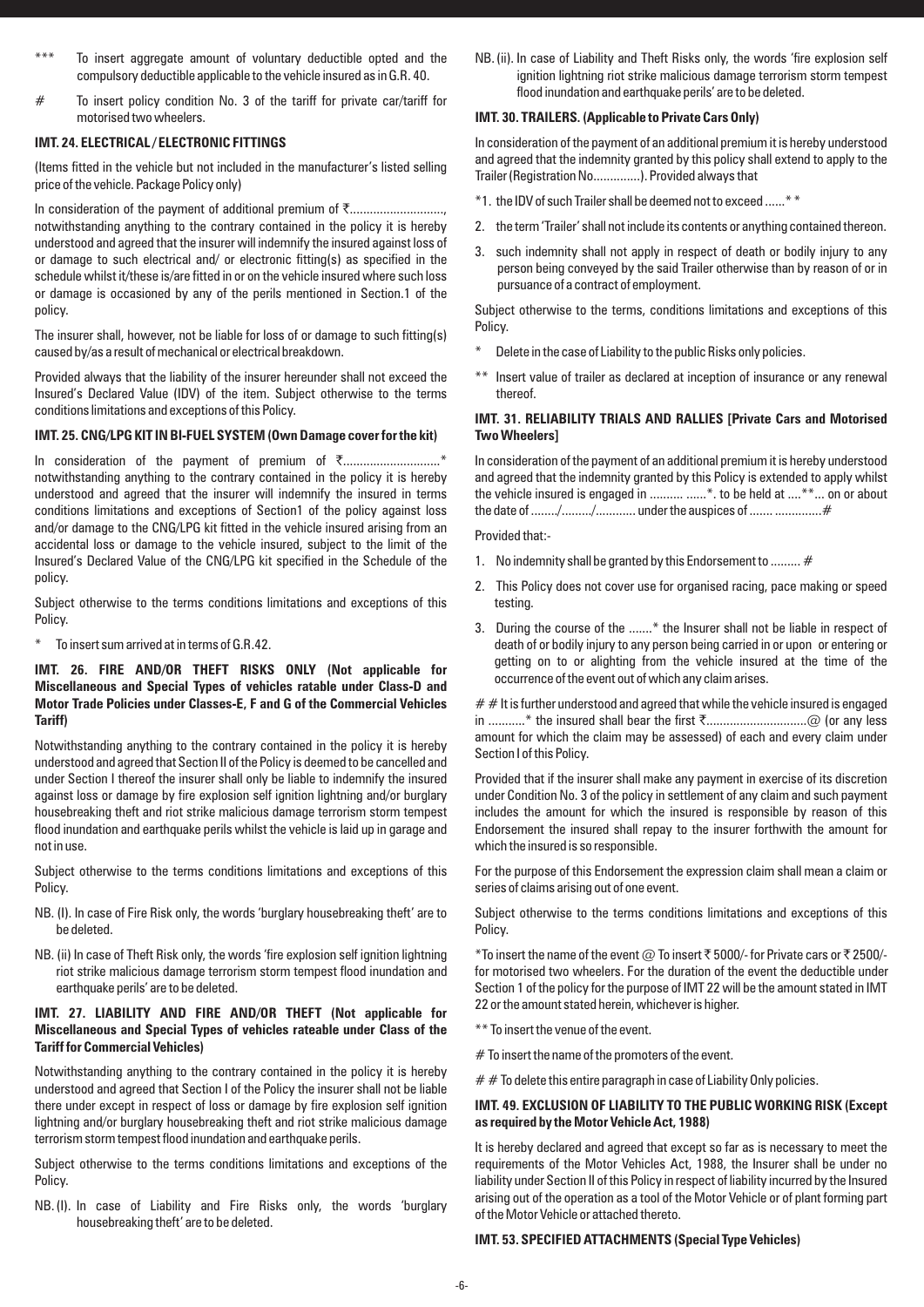- To insert aggregate amount of voluntary deductible opted and the compulsory deductible applicable to the vehicle insured as in G.R. 40.
- # To insert policy condition No. 3 of the tariff for private car/tariff for motorised two wheelers.

## **IMT. 24. ELECTRICAL / ELECTRONIC FITTINGS**

(Items fitted in the vehicle but not included in the manufacturer's listed selling price of the vehicle. Package Policy only)

In consideration of the payment of additional premium of  $\bar{\tau}$ .......................... notwithstanding anything to the contrary contained in the policy it is hereby understood and agreed that the insurer will indemnify the insured against loss of or damage to such electrical and/ or electronic fitting(s) as specified in the schedule whilst it/these is/are fitted in or on the vehicle insured where such loss or damage is occasioned by any of the perils mentioned in Section.1 of the policy.

The insurer shall, however, not be liable for loss of or damage to such fitting(s) caused by/as a result of mechanical or electrical breakdown.

Provided always that the liability of the insurer hereunder shall not exceed the Insured's Declared Value (IDV) of the item. Subject otherwise to the terms conditions limitations and exceptions of this Policy.

#### **IMT. 25. CNG/LPG KIT IN BI-FUEL SYSTEM (Own Damage cover for the kit)**

In consideration of the payment of premium of `.............................\* notwithstanding anything to the contrary contained in the policy it is hereby understood and agreed that the insurer will indemnify the insured in terms conditions limitations and exceptions of Section1 of the policy against loss and/or damage to the CNG/LPG kit fitted in the vehicle insured arising from an accidental loss or damage to the vehicle insured, subject to the limit of the Insured's Declared Value of the CNG/LPG kit specified in the Schedule of the policy.

Subject otherwise to the terms conditions limitations and exceptions of this Policy.

To insert sum arrived at in terms of G.R.42.

## **IMT. 26. FIRE AND/OR THEFT RISKS ONLY (Not applicable for Miscellaneous and Special Types of vehicles ratable under Class-D and Motor Trade Policies under Classes-E, F and G of the Commercial Vehicles Tariff)**

Notwithstanding anything to the contrary contained in the policy it is hereby understood and agreed that Section II of the Policy is deemed to be cancelled and under Section I thereof the insurer shall only be liable to indemnify the insured against loss or damage by fire explosion self ignition lightning and/or burglary housebreaking theft and riot strike malicious damage terrorism storm tempest flood inundation and earthquake perils whilst the vehicle is laid up in garage and not in use.

Subject otherwise to the terms conditions limitations and exceptions of this Policy.

- NB. (I). In case of Fire Risk only, the words 'burglary housebreaking theft' are to be deleted.
- NB. (ii) In case of Theft Risk only, the words 'fire explosion self ignition lightning riot strike malicious damage terrorism storm tempest flood inundation and earthquake perils' are to be deleted.

## **IMT. 27. LIABILITY AND FIRE AND/OR THEFT (Not applicable for Miscellaneous and Special Types of vehicles rateable under Class of the Tariff for Commercial Vehicles)**

Notwithstanding anything to the contrary contained in the policy it is hereby understood and agreed that Section I of the Policy the insurer shall not be liable there under except in respect of loss or damage by fire explosion self ignition lightning and/or burglary housebreaking theft and riot strike malicious damage terrorism storm tempest flood inundation and earthquake perils.

Subject otherwise to the terms conditions limitations and exceptions of the Policy.

NB. (I). In case of Liability and Fire Risks only, the words 'burglary housebreaking theft' are to be deleted.

NB. (ii). In case of Liability and Theft Risks only, the words 'fire explosion self ignition lightning riot strike malicious damage terrorism storm tempest flood inundation and earthquake perils' are to be deleted.

## **IMT. 30. TRAILERS. (Applicable to Private Cars Only)**

In consideration of the payment of an additional premium it is hereby understood and agreed that the indemnity granted by this policy shall extend to apply to the Trailer (Registration No..............). Provided always that

- \*1. the IDV of such Trailer shall be deemed not to exceed ......\* \*
- 2. the term 'Trailer' shall not include its contents or anything contained thereon.
- 3. such indemnity shall not apply in respect of death or bodily injury to any person being conveyed by the said Trailer otherwise than by reason of or in pursuance of a contract of employment.

Subject otherwise to the terms, conditions limitations and exceptions of this Policy.

- Delete in the case of Liability to the public Risks only policies.
- \*\* Insert value of trailer as declared at inception of insurance or any renewal thereof.

## **IMT. 31. RELIABILITY TRIALS AND RALLIES [Private Cars and Motorised Two Wheelers]**

In consideration of the payment of an additional premium it is hereby understood and agreed that the indemnity granted by this Policy is extended to apply whilst the vehicle insured is engaged in .......... .......\*. to be held at ....\*\*... on or about the date of ......../........./............ under the auspices of ....... ..............#

Provided that:-

- 1. No indemnity shall be granted by this Endorsement to ......... #
- 2. This Policy does not cover use for organised racing, pace making or speed testing.
- 3. During the course of the .......\* the Insurer shall not be liable in respect of death of or bodily injury to any person being carried in or upon or entering or getting on to or alighting from the vehicle insured at the time of the occurrence of the event out of which any claim arises.

 $# #$  It is further understood and agreed that while the vehicle insured is engaged in ...........\* the insured shall bear the first  $\bar{\tau}$ .................................@ (or any less amount for which the claim may be assessed) of each and every claim under Section I of this Policy.

Provided that if the insurer shall make any payment in exercise of its discretion under Condition No. 3 of the policy in settlement of any claim and such payment includes the amount for which the insured is responsible by reason of this Endorsement the insured shall repay to the insurer forthwith the amount for which the insured is so responsible.

For the purpose of this Endorsement the expression claim shall mean a claim or series of claims arising out of one event.

Subject otherwise to the terms conditions limitations and exceptions of this Policy.

\*To insert the name of the event  $@$  To insert  $\bar{\tau}$  5000/- for Private cars or  $\bar{\tau}$  2500/for motorised two wheelers. For the duration of the event the deductible under Section 1 of the policy for the purpose of IMT 22 will be the amount stated in IMT 22 or the amount stated herein, whichever is higher.

\*\* To insert the venue of the event.

 $#$  To insert the name of the promoters of the event.

 $# #$  To delete this entire paragraph in case of Liability Only policies.

## **IMT. 49. EXCLUSION OF LIABILITY TO THE PUBLIC WORKING RISK (Except as required by the Motor Vehicle Act, 1988)**

It is hereby declared and agreed that except so far as is necessary to meet the requirements of the Motor Vehicles Act, 1988, the Insurer shall be under no liability under Section II of this Policy in respect of liability incurred by the Insured arising out of the operation as a tool of the Motor Vehicle or of plant forming part of the Motor Vehicle or attached thereto.

# **IMT. 53. SPECIFIED ATTACHMENTS (Special Type Vehicles)**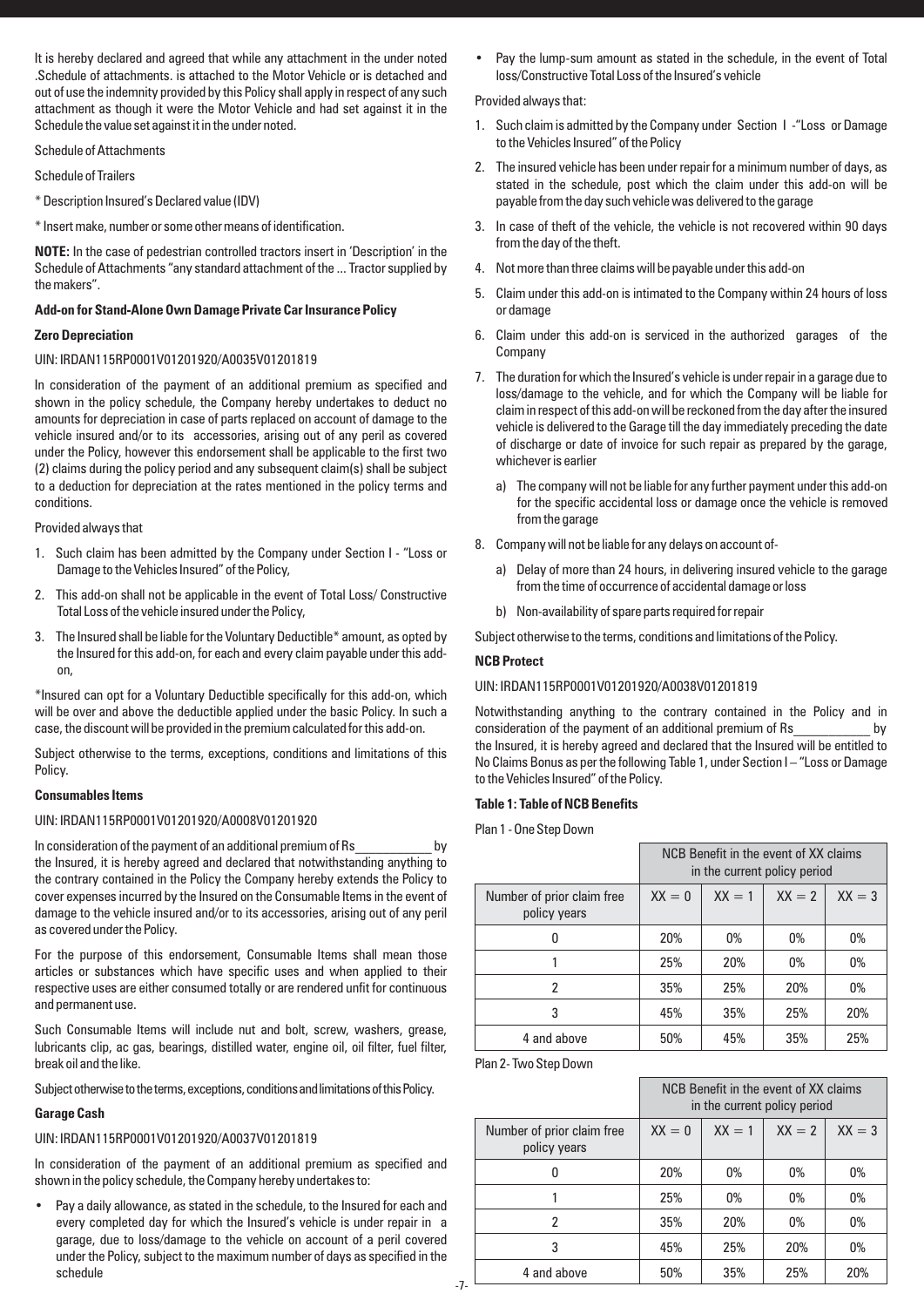It is hereby declared and agreed that while any attachment in the under noted .Schedule of attachments. is attached to the Motor Vehicle or is detached and out of use the indemnity provided by this Policy shall apply in respect of any such attachment as though it were the Motor Vehicle and had set against it in the Schedule the value set against it in the under noted.

Schedule of Attachments

Schedule of Trailers

\* Description Insured's Declared value (IDV)

\* Insert make, number or some other means of identification.

**NOTE:** In the case of pedestrian controlled tractors insert in 'Description' in the Schedule of Attachments "any standard attachment of the ... Tractor supplied by the makers".

## **Add-on for Stand-Alone Own Damage Private Car Insurance Policy**

#### **Zero Depreciation**

#### UIN: IRDAN115RP0001V01201920/A0035V01201819

In consideration of the payment of an additional premium as specified and shown in the policy schedule, the Company hereby undertakes to deduct no amounts for depreciation in case of parts replaced on account of damage to the vehicle insured and/or to its accessories, arising out of any peril as covered under the Policy, however this endorsement shall be applicable to the first two (2) claims during the policy period and any subsequent claim(s) shall be subject to a deduction for depreciation at the rates mentioned in the policy terms and conditions.

Provided always that

- 1. Such claim has been admitted by the Company under Section I "Loss or Damage to the Vehicles Insured" of the Policy,
- 2. This add-on shall not be applicable in the event of Total Loss/ Constructive Total Loss of the vehicle insured under the Policy,
- 3. The Insured shall be liable for the Voluntary Deductible\* amount, as opted by the Insured for this add-on, for each and every claim payable under this addon,

\*Insured can opt for a Voluntary Deductible specifically for this add-on, which will be over and above the deductible applied under the basic Policy. In such a case, the discount will be provided in the premium calculated for this add-on.

Subject otherwise to the terms, exceptions, conditions and limitations of this Policy.

#### **Consumables Items**

## UIN: IRDAN115RP0001V01201920/A0008V01201920

In consideration of the payment of an additional premium of Rs by the Insured, it is hereby agreed and declared that notwithstanding anything to the contrary contained in the Policy the Company hereby extends the Policy to cover expenses incurred by the Insured on the Consumable Items in the event of damage to the vehicle insured and/or to its accessories, arising out of any peril as covered under the Policy.

For the purpose of this endorsement, Consumable Items shall mean those articles or substances which have specific uses and when applied to their respective uses are either consumed totally or are rendered unfit for continuous and permanent use.

Such Consumable Items will include nut and bolt, screw, washers, grease, lubricants clip, ac gas, bearings, distilled water, engine oil, oil filter, fuel filter, break oil and the like.

Subject otherwise to the terms, exceptions, conditions and limitations of this Policy.

## **Garage Cash**

## UIN: IRDAN115RP0001V01201920/A0037V01201819

In consideration of the payment of an additional premium as specified and shown in the policy schedule, the Company hereby undertakes to:

• Pay a daily allowance, as stated in the schedule, to the Insured for each and every completed day for which the Insured's vehicle is under repair in a garage, due to loss/damage to the vehicle on account of a peril covered under the Policy, subject to the maximum number of days as specified in the schedule

Pay the lump-sum amount as stated in the schedule, in the event of Total loss/Constructive Total Loss of the Insured's vehicle

#### Provided always that:

- 1. Such claim is admitted by the Company under Section I -"Loss or Damage to the Vehicles Insured" of the Policy
- 2. The insured vehicle has been under repair for a minimum number of days, as stated in the schedule, post which the claim under this add-on will be payable from the day such vehicle was delivered to the garage
- 3. In case of theft of the vehicle, the vehicle is not recovered within 90 days from the day of the theft.
- 4. Not more than three claims will be payable under this add-on
- 5. Claim under this add-on is intimated to the Company within 24 hours of loss or damage
- 6. Claim under this add-on is serviced in the authorized garages of the Company
- 7. The duration for which the Insured's vehicle is under repair in a garage due to loss/damage to the vehicle, and for which the Company will be liable for claim in respect of this add-on will be reckoned from the day after the insured vehicle is delivered to the Garage till the day immediately preceding the date of discharge or date of invoice for such repair as prepared by the garage, whichever is earlier
	- a) The company will not be liable for any further payment under this add-on for the specific accidental loss or damage once the vehicle is removed from the garage
- 8. Company will not be liable for any delays on account of
	- a) Delay of more than 24 hours, in delivering insured vehicle to the garage from the time of occurrence of accidental damage or loss
	- b) Non-availability of spare parts required for repair

Subject otherwise to the terms, conditions and limitations of the Policy.

## **NCB Protect**

#### UIN: IRDAN115RP0001V01201920/A0038V01201819

Notwithstanding anything to the contrary contained in the Policy and in consideration of the payment of an additional premium of Rs by the Insured, it is hereby agreed and declared that the Insured will be entitled to No Claims Bonus as per the following Table 1, under Section I – "Loss or Damage to the Vehicles Insured" of the Policy.

## **Table 1: Table of NCB Benefits**

Plan 1 - One Step Down

|                                            | NCB Benefit in the event of XX claims<br>in the current policy period |          |          |          |
|--------------------------------------------|-----------------------------------------------------------------------|----------|----------|----------|
| Number of prior claim free<br>policy years | $XX = 0$                                                              | $XX = 1$ | $XX = 2$ | $XX = 3$ |
|                                            | 20%                                                                   | $0\%$    | $0\%$    | $0\%$    |
|                                            | 25%                                                                   | 20%      | 0%       | 0%       |
| 2                                          | 35%                                                                   | 25%      | 20%      | $0\%$    |
| 3                                          | 45%                                                                   | 35%      | 25%      | 20%      |
| 4 and above                                | 50%                                                                   | 45%      | 35%      | 25%      |

Plan 2- Two Step Down

|                                            | NCB Benefit in the event of XX claims<br>in the current policy period |          |          |          |
|--------------------------------------------|-----------------------------------------------------------------------|----------|----------|----------|
| Number of prior claim free<br>policy years | $XX = 0$                                                              | $XX = 1$ | $XX = 2$ | $XX = 3$ |
|                                            | 20%                                                                   | $0\%$    | $0\%$    | $0\%$    |
|                                            | 25%                                                                   | $0\%$    | $0\%$    | 0%       |
| 2                                          | 35%                                                                   | 20%      | $0\%$    | $0\%$    |
| 3                                          | 45%                                                                   | 25%      | 20%      | $0\%$    |
| 4 and above                                | 50%                                                                   | 35%      | 25%      | 20%      |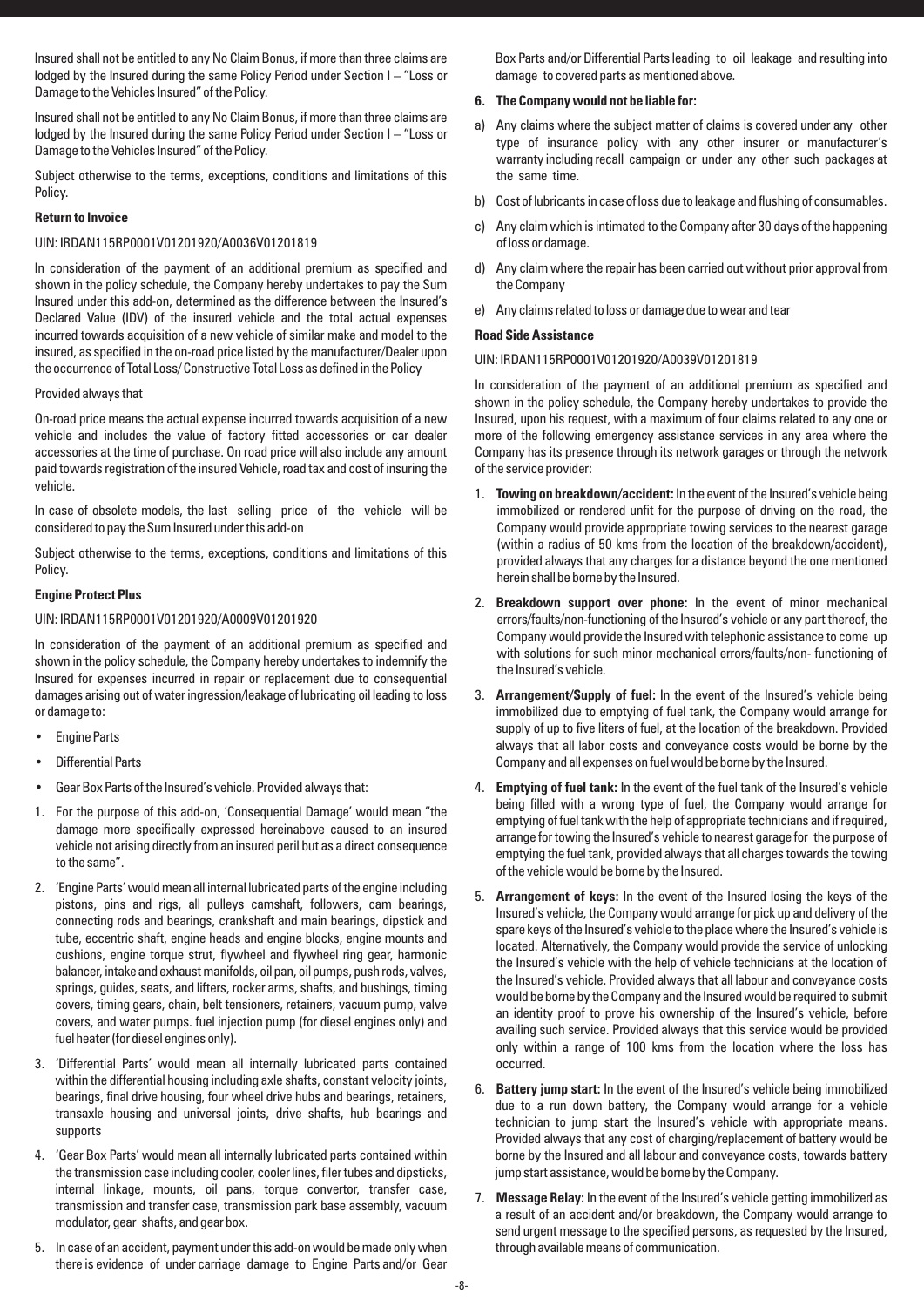Insured shall not be entitled to any No Claim Bonus, if more than three claims are lodged by the Insured during the same Policy Period under Section I – "Loss or Damage to the Vehicles Insured" of the Policy.

Insured shall not be entitled to any No Claim Bonus, if more than three claims are lodged by the Insured during the same Policy Period under Section I – "Loss or Damage to the Vehicles Insured" of the Policy.

Subject otherwise to the terms, exceptions, conditions and limitations of this Policy.

## **Return to Invoice**

## UIN: IRDAN115RP0001V01201920/A0036V01201819

In consideration of the payment of an additional premium as specified and shown in the policy schedule, the Company hereby undertakes to pay the Sum Insured under this add-on, determined as the difference between the Insured's Declared Value (IDV) of the insured vehicle and the total actual expenses incurred towards acquisition of a new vehicle of similar make and model to the insured, as specified in the on-road price listed by the manufacturer/Dealer upon the occurrence of Total Loss/ Constructive Total Loss as defined in the Policy

## Provided always that

On-road price means the actual expense incurred towards acquisition of a new vehicle and includes the value of factory fitted accessories or car dealer accessories at the time of purchase. On road price will also include any amount paid towards registration of the insured Vehicle, road tax and cost of insuring the vehicle.

In case of obsolete models, the last selling price of the vehicle will be considered to pay the Sum Insured under this add-on

Subject otherwise to the terms, exceptions, conditions and limitations of this Policy.

## **Engine Protect Plus**

## UIN: IRDAN115RP0001V01201920/A0009V01201920

In consideration of the payment of an additional premium as specified and shown in the policy schedule, the Company hereby undertakes to indemnify the Insured for expenses incurred in repair or replacement due to consequential damages arising out of water ingression/leakage of lubricating oil leading to loss or damage to:

- **Engine Parts**
- Differential Parts
- Gear Box Parts of the Insured's vehicle. Provided always that:
- 1. For the purpose of this add-on, 'Consequential Damage' would mean "the damage more specifically expressed hereinabove caused to an insured vehicle not arising directly from an insured peril but as a direct consequence to the same".
- 2. 'Engine Parts' would mean all internal lubricated parts of the engine including pistons, pins and rigs, all pulleys camshaft, followers, cam bearings, connecting rods and bearings, crankshaft and main bearings, dipstick and tube, eccentric shaft, engine heads and engine blocks, engine mounts and cushions, engine torque strut, flywheel and flywheel ring gear, harmonic balancer, intake and exhaust manifolds, oil pan, oil pumps, push rods, valves, springs, guides, seats, and lifters, rocker arms, shafts, and bushings, timing covers, timing gears, chain, belt tensioners, retainers, vacuum pump, valve covers, and water pumps. fuel injection pump (for diesel engines only) and fuel heater (for diesel engines only).
- 3. 'Differential Parts' would mean all internally lubricated parts contained within the differential housing including axle shafts, constant velocity joints, bearings, final drive housing, four wheel drive hubs and bearings, retainers, transaxle housing and universal joints, drive shafts, hub bearings and supports
- 4. 'Gear Box Parts' would mean all internally lubricated parts contained within the transmission case including cooler, cooler lines, filer tubes and dipsticks, internal linkage, mounts, oil pans, torque convertor, transfer case, transmission and transfer case, transmission park base assembly, vacuum modulator, gear shafts, and gear box.
- 5. In case of an accident, payment under this add-on would be made only when there is evidence of under carriage damage to Engine Parts and/or Gear

Box Parts and/or Differential Parts leading to oil leakage and resulting into damage to covered parts as mentioned above.

## **6. The Company would not be liable for:**

- a) Any claims where the subject matter of claims is covered under any other type of insurance policy with any other insurer or manufacturer's warranty including recall campaign or under any other such packages at the same time.
- b) Cost of lubricants in case of loss due to leakage and flushing of consumables.
- c) Any claim which is intimated to the Company after 30 days of the happening of loss or damage.
- d) Any claim where the repair has been carried out without prior approval from the Company
- e) Any claims related to loss or damage due to wear and tear

#### **Road Side Assistance**

#### UIN: IRDAN115RP0001V01201920/A0039V01201819

In consideration of the payment of an additional premium as specified and shown in the policy schedule, the Company hereby undertakes to provide the Insured, upon his request, with a maximum of four claims related to any one or more of the following emergency assistance services in any area where the Company has its presence through its network garages or through the network of the service provider:

- 1. **Towing on breakdown/accident:** In the event of the Insured's vehicle being immobilized or rendered unfit for the purpose of driving on the road, the Company would provide appropriate towing services to the nearest garage (within a radius of 50 kms from the location of the breakdown/accident), provided always that any charges for a distance beyond the one mentioned herein shall be borne by the Insured.
- 2. **Breakdown support over phone:** In the event of minor mechanical errors/faults/non-functioning of the Insured's vehicle or any part thereof, the Company would provide the Insured with telephonic assistance to come up with solutions for such minor mechanical errors/faults/non- functioning of the Insured's vehicle.
- 3. **Arrangement/Supply of fuel:** In the event of the Insured's vehicle being immobilized due to emptying of fuel tank, the Company would arrange for supply of up to five liters of fuel, at the location of the breakdown. Provided always that all labor costs and conveyance costs would be borne by the Company and all expenses on fuel would be borne by the Insured.
- 4. **Emptying of fuel tank:** In the event of the fuel tank of the Insured's vehicle being filled with a wrong type of fuel, the Company would arrange for emptying of fuel tank with the help of appropriate technicians and if required, arrange for towing the Insured's vehicle to nearest garage for the purpose of emptying the fuel tank, provided always that all charges towards the towing of the vehicle would be borne by the Insured.
- 5. **Arrangement of keys:** In the event of the Insured losing the keys of the Insured's vehicle, the Company would arrange for pick up and delivery of the spare keys of the Insured's vehicle to the place where the Insured's vehicle is located. Alternatively, the Company would provide the service of unlocking the Insured's vehicle with the help of vehicle technicians at the location of the Insured's vehicle. Provided always that all labour and conveyance costs would be borne by the Company and the Insured would be required to submit an identity proof to prove his ownership of the Insured's vehicle, before availing such service. Provided always that this service would be provided only within a range of 100 kms from the location where the loss has occurred.
- 6. **Battery jump start:** In the event of the Insured's vehicle being immobilized due to a run down battery, the Company would arrange for a vehicle technician to jump start the Insured's vehicle with appropriate means. Provided always that any cost of charging/replacement of battery would be borne by the Insured and all labour and conveyance costs, towards battery jump start assistance, would be borne by the Company.
- 7. **Message Relay:** In the event of the Insured's vehicle getting immobilized as a result of an accident and/or breakdown, the Company would arrange to send urgent message to the specified persons, as requested by the Insured, through available means of communication.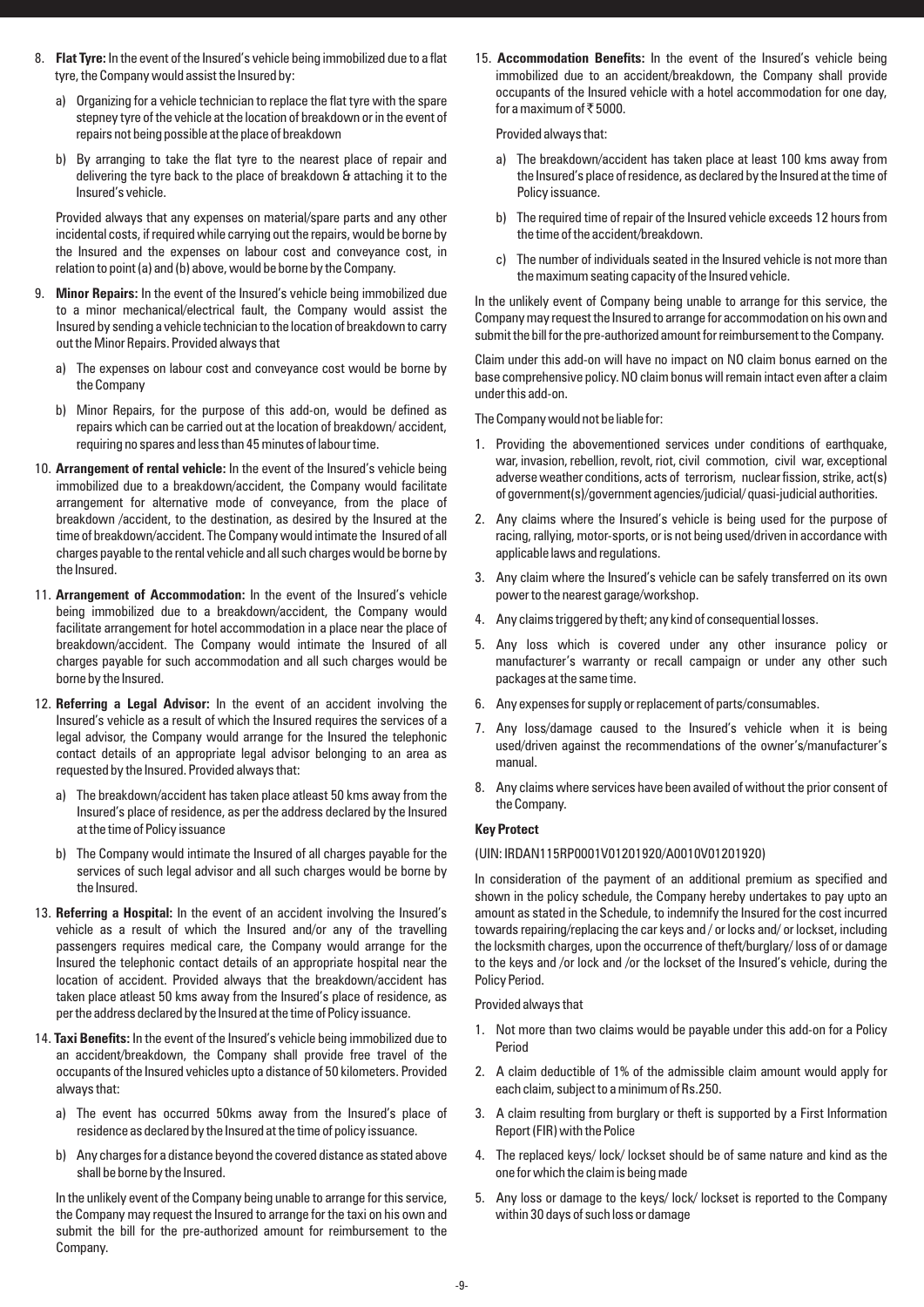- 8. **Flat Tyre:** In the event of the Insured's vehicle being immobilized due to a flat tyre, the Company would assist the Insured by:
	- a) Organizing for a vehicle technician to replace the flat tyre with the spare stepney tyre of the vehicle at the location of breakdown or in the event of repairs not being possible at the place of breakdown
	- b) By arranging to take the flat tyre to the nearest place of repair and delivering the tyre back to the place of breakdown & attaching it to the Insured's vehicle.

Provided always that any expenses on material/spare parts and any other incidental costs, if required while carrying out the repairs, would be borne by the Insured and the expenses on labour cost and conveyance cost, in relation to point (a) and (b) above, would be borne by the Company.

- 9. **Minor Repairs:** In the event of the Insured's vehicle being immobilized due to a minor mechanical/electrical fault, the Company would assist the Insured by sending a vehicle technician to the location of breakdown to carry out the Minor Repairs. Provided always that
	- a) The expenses on labour cost and conveyance cost would be borne by the Company
	- b) Minor Repairs, for the purpose of this add-on, would be defined as repairs which can be carried out at the location of breakdown/ accident, requiring no spares and less than 45 minutes of labour time.
- 10. **Arrangement of rental vehicle:** In the event of the Insured's vehicle being immobilized due to a breakdown/accident, the Company would facilitate arrangement for alternative mode of conveyance, from the place of breakdown /accident, to the destination, as desired by the Insured at the time of breakdown/accident. The Company would intimate the Insured of all charges payable to the rental vehicle and all such charges would be borne by the Insured.
- 11. **Arrangement of Accommodation:** In the event of the Insured's vehicle being immobilized due to a breakdown/accident, the Company would facilitate arrangement for hotel accommodation in a place near the place of breakdown/accident. The Company would intimate the Insured of all charges payable for such accommodation and all such charges would be borne by the Insured.
- 12. **Referring a Legal Advisor:** In the event of an accident involving the Insured's vehicle as a result of which the Insured requires the services of a legal advisor, the Company would arrange for the Insured the telephonic contact details of an appropriate legal advisor belonging to an area as requested by the Insured. Provided always that:
	- a) The breakdown/accident has taken place atleast 50 kms away from the Insured's place of residence, as per the address declared by the Insured at the time of Policy issuance
	- b) The Company would intimate the Insured of all charges payable for the services of such legal advisor and all such charges would be borne by the Insured.
- 13. **Referring a Hospital:** In the event of an accident involving the Insured's vehicle as a result of which the Insured and/or any of the travelling passengers requires medical care, the Company would arrange for the Insured the telephonic contact details of an appropriate hospital near the location of accident. Provided always that the breakdown/accident has taken place atleast 50 kms away from the Insured's place of residence, as per the address declared by the Insured at the time of Policy issuance.
- 14. **Taxi Benefits:** In the event of the Insured's vehicle being immobilized due to an accident/breakdown, the Company shall provide free travel of the occupants of the Insured vehicles upto a distance of 50 kilometers. Provided always that:
	- a) The event has occurred 50kms away from the Insured's place of residence as declared by the Insured at the time of policy issuance.
	- b) Any charges for a distance beyond the covered distance as stated above shall be borne by the Insured.

In the unlikely event of the Company being unable to arrange for this service, the Company may request the Insured to arrange for the taxi on his own and submit the bill for the pre-authorized amount for reimbursement to the Company.

15. **Accommodation Benefits:** In the event of the Insured's vehicle being immobilized due to an accident/breakdown, the Company shall provide occupants of the Insured vehicle with a hotel accommodation for one day, for a maximum of  $\bar{\tau}$  5000.

Provided always that:

- a) The breakdown/accident has taken place at least 100 kms away from the Insured's place of residence, as declared by the Insured at the time of Policy issuance.
- b) The required time of repair of the Insured vehicle exceeds 12 hours from the time of the accident/breakdown.
- c) The number of individuals seated in the Insured vehicle is not more than the maximum seating capacity of the Insured vehicle.

In the unlikely event of Company being unable to arrange for this service, the Company may request the Insured to arrange for accommodation on his own and submit the bill for the pre-authorized amount for reimbursement to the Company.

Claim under this add-on will have no impact on NO claim bonus earned on the base comprehensive policy. NO claim bonus will remain intact even after a claim under this add-on.

The Company would not be liable for:

- 1. Providing the abovementioned services under conditions of earthquake, war, invasion, rebellion, revolt, riot, civil commotion, civil war, exceptional adverse weather conditions, acts of terrorism, nuclear fission, strike, act(s) of government(s)/government agencies/judicial/ quasi-judicial authorities.
- 2. Any claims where the Insured's vehicle is being used for the purpose of racing, rallying, motor-sports, or is not being used/driven in accordance with applicable laws and regulations.
- 3. Any claim where the Insured's vehicle can be safely transferred on its own power to the nearest garage/workshop.
- 4. Any claims triggered by theft; any kind of consequential losses.
- 5. Any loss which is covered under any other insurance policy or manufacturer's warranty or recall campaign or under any other such packages at the same time.
- 6. Any expenses for supply or replacement of parts/consumables.
- 7. Any loss/damage caused to the Insured's vehicle when it is being used/driven against the recommendations of the owner's/manufacturer's manual.
- 8. Any claims where services have been availed of without the prior consent of the Company.

## **Key Protect**

#### (UIN: IRDAN115RP0001V01201920/A0010V01201920)

In consideration of the payment of an additional premium as specified and shown in the policy schedule, the Company hereby undertakes to pay upto an amount as stated in the Schedule, to indemnify the Insured for the cost incurred towards repairing/replacing the car keys and / or locks and/ or lockset, including the locksmith charges, upon the occurrence of theft/burglary/ loss of or damage to the keys and /or lock and /or the lockset of the Insured's vehicle, during the Policy Period.

Provided always that

- 1. Not more than two claims would be payable under this add-on for a Policy Period
- 2. A claim deductible of 1% of the admissible claim amount would apply for each claim, subject to a minimum of Rs.250.
- 3. A claim resulting from burglary or theft is supported by a First Information Report (FIR) with the Police
- 4. The replaced keys/ lock/ lockset should be of same nature and kind as the one for which the claim is being made
- 5. Any loss or damage to the keys/ lock/ lockset is reported to the Company within 30 days of such loss or damage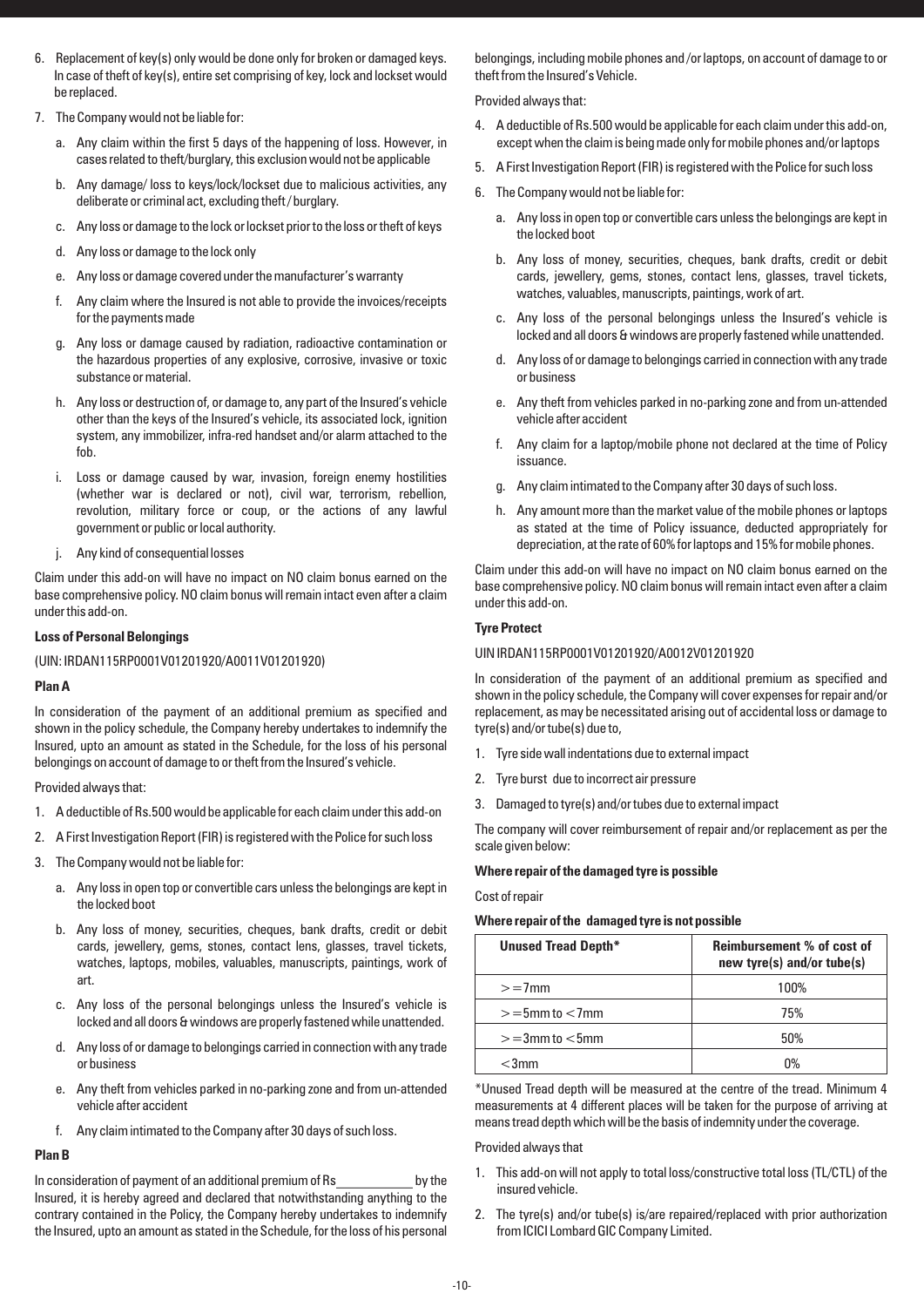- 6. Replacement of key(s) only would be done only for broken or damaged keys. In case of theft of key(s), entire set comprising of key, lock and lockset would be replaced.
- 7. The Company would not be liable for:
	- a. Any claim within the first 5 days of the happening of loss. However, in cases related to theft/burglary, this exclusion would not be applicable
	- b. Any damage/ loss to keys/lock/lockset due to malicious activities, any deliberate or criminal act, excluding theft / burglary.
	- c. Any loss or damage to the lock or lockset prior to the loss or theft of keys
	- d. Any loss or damage to the lock only
	- e. Any loss or damage covered under the manufacturer's warranty
	- f. Any claim where the Insured is not able to provide the invoices/receipts for the payments made
	- g. Any loss or damage caused by radiation, radioactive contamination or the hazardous properties of any explosive, corrosive, invasive or toxic substance or material.
	- h. Any loss or destruction of, or damage to, any part of the Insured's vehicle other than the keys of the Insured's vehicle, its associated lock, ignition system, any immobilizer, infra-red handset and/or alarm attached to the fob.
	- i. Loss or damage caused by war, invasion, foreign enemy hostilities (whether war is declared or not), civil war, terrorism, rebellion, revolution, military force or coup, or the actions of any lawful government or public or local authority.
	- j. Any kind of consequential losses

Claim under this add-on will have no impact on NO claim bonus earned on the base comprehensive policy. NO claim bonus will remain intact even after a claim under this add-on.

#### **Loss of Personal Belongings**

(UIN: IRDAN115RP0001V01201920/A0011V01201920)

#### **Plan A**

In consideration of the payment of an additional premium as specified and shown in the policy schedule, the Company hereby undertakes to indemnify the Insured, upto an amount as stated in the Schedule, for the loss of his personal belongings on account of damage to or theft from the Insured's vehicle.

Provided always that:

- 1. A deductible of Rs.500 would be applicable for each claim under this add-on
- 2. A First Investigation Report (FIR) is registered with the Police for such loss
- 3. The Company would not be liable for:
	- a. Any loss in open top or convertible cars unless the belongings are kept in the locked boot
	- b. Any loss of money, securities, cheques, bank drafts, credit or debit cards, jewellery, gems, stones, contact lens, glasses, travel tickets, watches, laptops, mobiles, valuables, manuscripts, paintings, work of art.
	- c. Any loss of the personal belongings unless the Insured's vehicle is locked and all doors & windows are properly fastened while unattended.
	- d. Any loss of or damage to belongings carried in connection with any trade or business
	- e. Any theft from vehicles parked in no-parking zone and from un-attended vehicle after accident
	- f. Any claim intimated to the Company after 30 days of such loss.

## **Plan B**

In consideration of payment of an additional premium of Rs by the Insured, it is hereby agreed and declared that notwithstanding anything to the contrary contained in the Policy, the Company hereby undertakes to indemnify the Insured, upto an amount as stated in the Schedule, for the loss of his personal belongings, including mobile phones and /or laptops, on account of damage to or theft from the Insured's Vehicle.

Provided always that:

- 4. A deductible of Rs.500 would be applicable for each claim under this add-on, except when the claim is being made only for mobile phones and/or laptops
- 5. A First Investigation Report (FIR) is registered with the Police for such loss
- 6. The Company would not be liable for:
	- a. Any loss in open top or convertible cars unless the belongings are kept in the locked boot
	- b. Any loss of money, securities, cheques, bank drafts, credit or debit cards, jewellery, gems, stones, contact lens, glasses, travel tickets, watches, valuables, manuscripts, paintings, work of art.
	- c. Any loss of the personal belongings unless the Insured's vehicle is locked and all doors & windows are properly fastened while unattended.
	- d. Any loss of or damage to belongings carried in connection with any trade or business
	- e. Any theft from vehicles parked in no-parking zone and from un-attended vehicle after accident
	- f. Any claim for a laptop/mobile phone not declared at the time of Policy issuance.
	- g. Any claim intimated to the Company after 30 days of such loss.
	- h. Any amount more than the market value of the mobile phones or laptops as stated at the time of Policy issuance, deducted appropriately for depreciation, at the rate of 60% for laptops and 15% for mobile phones.

Claim under this add-on will have no impact on NO claim bonus earned on the base comprehensive policy. NO claim bonus will remain intact even after a claim under this add-on.

## **Tyre Protect**

#### UIN IRDAN115RP0001V01201920/A0012V01201920

In consideration of the payment of an additional premium as specified and shown in the policy schedule, the Company will cover expenses for repair and/or replacement, as may be necessitated arising out of accidental loss or damage to tyre(s) and/or tube(s) due to,

- 1. Tyre side wall indentations due to external impact
- 2. Tyre burst due to incorrect air pressure
- 3. Damaged to tyre(s) and/or tubes due to external impact

The company will cover reimbursement of repair and/or replacement as per the scale given below:

#### **Where repair of the damaged tyre is possible**

Cost of repair

#### **Where repair of the damaged tyre is not possible**

| Unused Tread Depth* | <b>Reimbursement % of cost of</b><br>new tyre(s) and/or tube(s) |  |
|---------------------|-----------------------------------------------------------------|--|
| $>=7$ mm            | 100%                                                            |  |
| $>=5$ mm to $<7$ mm | 75%                                                             |  |
| $>=3$ mm to $<5$ mm | 50%                                                             |  |
| $<$ 3mm             | n%                                                              |  |

\*Unused Tread depth will be measured at the centre of the tread. Minimum 4 measurements at 4 different places will be taken for the purpose of arriving at means tread depth which will be the basis of indemnity under the coverage.

#### Provided always that

- 1. This add-on will not apply to total loss/constructive total loss (TL/CTL) of the insured vehicle.
- 2. The tyre(s) and/or tube(s) is/are repaired/replaced with prior authorization from ICICI Lombard GIC Company Limited.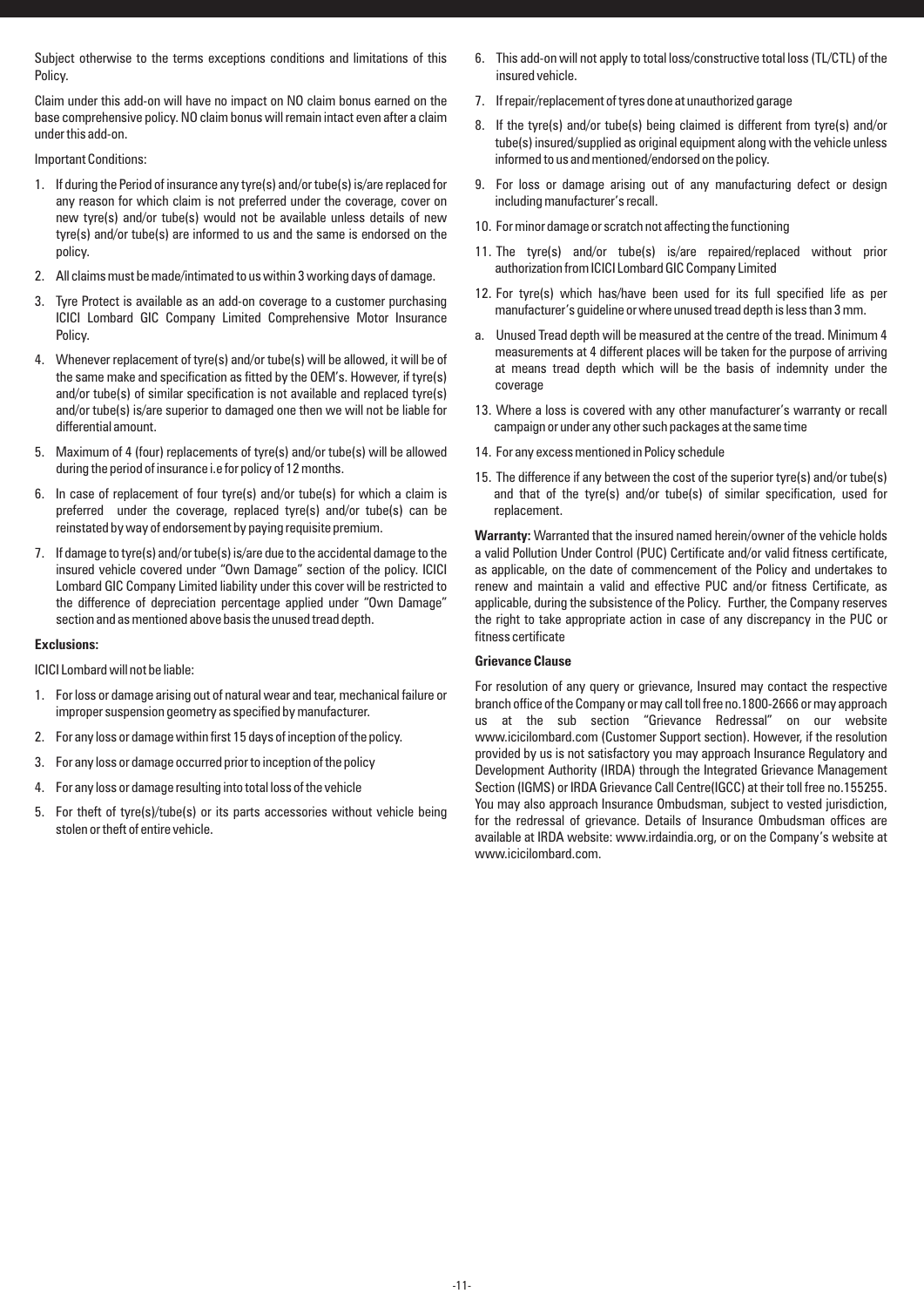Subject otherwise to the terms exceptions conditions and limitations of this Policy.

Claim under this add-on will have no impact on NO claim bonus earned on the base comprehensive policy. NO claim bonus will remain intact even after a claim under this add-on.

Important Conditions:

- 1. If during the Period of insurance any tyre(s) and/or tube(s) is/are replaced for any reason for which claim is not preferred under the coverage, cover on new tyre(s) and/or tube(s) would not be available unless details of new tyre(s) and/or tube(s) are informed to us and the same is endorsed on the policy.
- 2. All claims must be made/intimated to us within 3 working days of damage.
- 3. Tyre Protect is available as an add-on coverage to a customer purchasing ICICI Lombard GIC Company Limited Comprehensive Motor Insurance **Policy**
- 4. Whenever replacement of tyre(s) and/or tube(s) will be allowed, it will be of the same make and specification as fitted by the OEM's. However, if tyre(s) and/or tube(s) of similar specification is not available and replaced tyre(s) and/or tube(s) is/are superior to damaged one then we will not be liable for differential amount.
- 5. Maximum of 4 (four) replacements of tyre(s) and/or tube(s) will be allowed during the period of insurance i.e for policy of 12 months.
- 6. In case of replacement of four tyre(s) and/or tube(s) for which a claim is preferred under the coverage, replaced tyre(s) and/or tube(s) can be reinstated by way of endorsement by paying requisite premium.
- 7. If damage to tyre(s) and/or tube(s) is/are due to the accidental damage to the insured vehicle covered under "Own Damage" section of the policy. ICICI Lombard GIC Company Limited liability under this cover will be restricted to the difference of depreciation percentage applied under "Own Damage" section and as mentioned above basis the unused tread depth.

## **Exclusions:**

ICICI Lombard will not be liable:

- 1. For loss or damage arising out of natural wear and tear, mechanical failure or improper suspension geometry as specified by manufacturer.
- 2. For any loss or damage within first 15 days of inception of the policy.
- 3. For any loss or damage occurred prior to inception of the policy
- 4. For any loss or damage resulting into total loss of the vehicle
- 5. For theft of tyre(s)/tube(s) or its parts accessories without vehicle being stolen or theft of entire vehicle.
- 6. This add-on will not apply to total loss/constructive total loss (TL/CTL) of the insured vehicle.
- 7. If repair/replacement of tyres done at unauthorized garage
- 8. If the tyre(s) and/or tube(s) being claimed is different from tyre(s) and/or tube(s) insured/supplied as original equipment along with the vehicle unless informed to us and mentioned/endorsed on the policy.
- 9. For loss or damage arising out of any manufacturing defect or design including manufacturer's recall.
- 10. For minor damage or scratch not affecting the functioning
- 11. The tyre(s) and/or tube(s) is/are repaired/replaced without prior authorization from ICICI Lombard GIC Company Limited
- 12. For tyre(s) which has/have been used for its full specified life as per manufacturer's guideline or where unused tread depth is less than 3 mm.
- a. Unused Tread depth will be measured at the centre of the tread. Minimum 4 measurements at 4 different places will be taken for the purpose of arriving at means tread depth which will be the basis of indemnity under the coverage
- 13. Where a loss is covered with any other manufacturer's warranty or recall campaign or under any other such packages at the same time
- 14. For any excess mentioned in Policy schedule
- 15. The difference if any between the cost of the superior tyre(s) and/or tube(s) and that of the tyre(s) and/or tube(s) of similar specification, used for replacement.

**Warranty:** Warranted that the insured named herein/owner of the vehicle holds a valid Pollution Under Control (PUC) Certificate and/or valid fitness certificate, as applicable, on the date of commencement of the Policy and undertakes to renew and maintain a valid and effective PUC and/or fitness Certificate, as applicable, during the subsistence of the Policy. Further, the Company reserves the right to take appropriate action in case of any discrepancy in the PUC or fitness certificate

## **Grievance Clause**

For resolution of any query or grievance, Insured may contact the respective branch office of the Company or may call toll free no.1800-2666 or may approach us at the sub section "Grievance Redressal" on our website www.icicilombard.com (Customer Support section). However, if the resolution provided by us is not satisfactory you may approach Insurance Regulatory and Development Authority (IRDA) through the Integrated Grievance Management Section (IGMS) or IRDA Grievance Call Centre(IGCC) at their toll free no.155255. You may also approach Insurance Ombudsman, subject to vested jurisdiction, for the redressal of grievance. Details of Insurance Ombudsman offices are available at IRDA website: www.irdaindia.org, or on the Company's website at www.icicilombard.com.